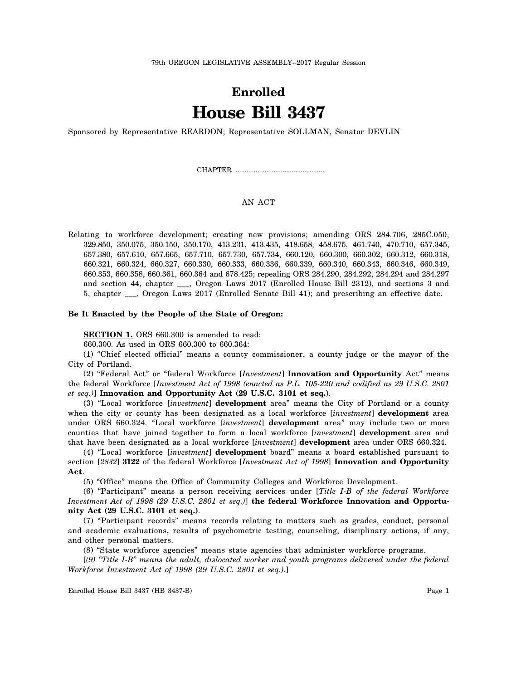# **Enrolled House Bill 3437**

Sponsored by Representative REARDON; Representative SOLLMAN, Senator DEVLIN

CHAPTER .................................................

# AN ACT

Relating to workforce development; creating new provisions; amending ORS 284.706, 285C.050, 329.850, 350.075, 350.150, 350.170, 413.231, 413.435, 418.658, 458.675, 461.740, 470.710, 657.345, 657.380, 657.610, 657.665, 657.710, 657.730, 657.734, 660.120, 660.300, 660.302, 660.312, 660.318, 660.321, 660.324, 660.327, 660.330, 660.333, 660.336, 660.339, 660.340, 660.343, 660.346, 660.349, 660.353, 660.358, 660.361, 660.364 and 678.425; repealing ORS 284.290, 284.292, 284.294 and 284.297 and section 44, chapter \_\_\_, Oregon Laws 2017 (Enrolled House Bill 2312), and sections 3 and 5, chapter \_\_\_, Oregon Laws 2017 (Enrolled Senate Bill 41); and prescribing an effective date.

#### **Be It Enacted by the People of the State of Oregon:**

**SECTION 1.** ORS 660.300 is amended to read:

660.300. As used in ORS 660.300 to 660.364:

(1) "Chief elected official" means a county commissioner, a county judge or the mayor of the City of Portland.

(2) "Federal Act" or "federal Workforce [*Investment*] **Innovation and Opportunity** Act" means the federal Workforce [*Investment Act of 1998 (enacted as P.L. 105-220 and codified as 29 U.S.C. 2801 et seq.)*] **Innovation and Opportunity Act (29 U.S.C. 3101 et seq.)**.

(3) "Local workforce [*investment*] **development** area" means the City of Portland or a county when the city or county has been designated as a local workforce [*investment*] **development** area under ORS 660.324. "Local workforce [*investment*] **development** area" may include two or more counties that have joined together to form a local workforce [*investment*] **development** area and that have been designated as a local workforce [*investment*] **development** area under ORS 660.324.

(4) "Local workforce [*investment*] **development** board" means a board established pursuant to section [*2832*] **3122** of the federal Workforce [*Investment Act of 1998*] **Innovation and Opportunity Act**.

(5) "Office" means the Office of Community Colleges and Workforce Development.

(6) "Participant" means a person receiving services under [*Title I-B of the federal Workforce Investment Act of 1998 (29 U.S.C. 2801 et seq.)*] **the federal Workforce Innovation and Opportunity Act (29 U.S.C. 3101 et seq.)**.

(7) "Participant records" means records relating to matters such as grades, conduct, personal and academic evaluations, results of psychometric testing, counseling, disciplinary actions, if any, and other personal matters.

(8) "State workforce agencies" means state agencies that administer workforce programs.

[*(9) "Title I-B" means the adult, dislocated worker and youth programs delivered under the federal Workforce Investment Act of 1998 (29 U.S.C. 2801 et seq.).*]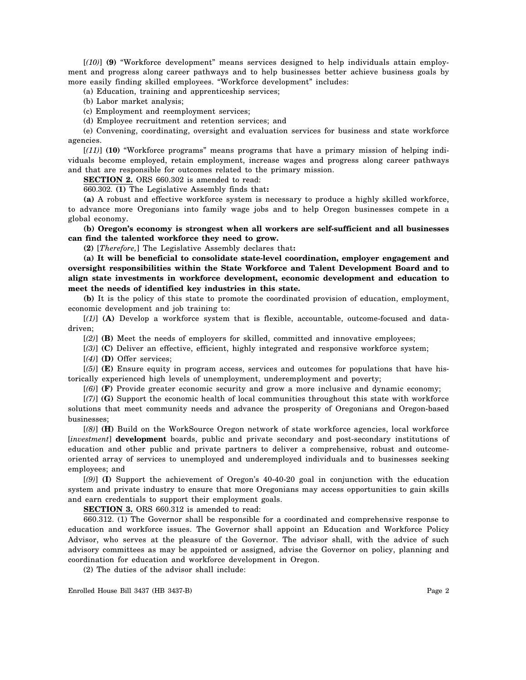[*(10)*] **(9)** "Workforce development" means services designed to help individuals attain employment and progress along career pathways and to help businesses better achieve business goals by more easily finding skilled employees. "Workforce development" includes:

(a) Education, training and apprenticeship services;

(b) Labor market analysis;

(c) Employment and reemployment services;

(d) Employee recruitment and retention services; and

(e) Convening, coordinating, oversight and evaluation services for business and state workforce agencies.

[*(11)*] **(10)** "Workforce programs" means programs that have a primary mission of helping individuals become employed, retain employment, increase wages and progress along career pathways and that are responsible for outcomes related to the primary mission.

**SECTION 2.** ORS 660.302 is amended to read:

660.302. **(1)** The Legislative Assembly finds that**:**

**(a)** A robust and effective workforce system is necessary to produce a highly skilled workforce, to advance more Oregonians into family wage jobs and to help Oregon businesses compete in a global economy.

**(b) Oregon's economy is strongest when all workers are self-sufficient and all businesses can find the talented workforce they need to grow.**

**(2)** [*Therefore,*] The Legislative Assembly declares that**:**

**(a) It will be beneficial to consolidate state-level coordination, employer engagement and oversight responsibilities within the State Workforce and Talent Development Board and to align state investments in workforce development, economic development and education to meet the needs of identified key industries in this state.**

**(b)** It is the policy of this state to promote the coordinated provision of education, employment, economic development and job training to:

[*(1)*] **(A)** Develop a workforce system that is flexible, accountable, outcome-focused and datadriven;

[*(2)*] **(B)** Meet the needs of employers for skilled, committed and innovative employees;

[*(3)*] **(C)** Deliver an effective, efficient, highly integrated and responsive workforce system;

[*(4)*] **(D)** Offer services;

[*(5)*] **(E)** Ensure equity in program access, services and outcomes for populations that have historically experienced high levels of unemployment, underemployment and poverty;

[*(6)*] **(F)** Provide greater economic security and grow a more inclusive and dynamic economy;

[*(7)*] **(G)** Support the economic health of local communities throughout this state with workforce solutions that meet community needs and advance the prosperity of Oregonians and Oregon-based businesses;

[*(8)*] **(H)** Build on the WorkSource Oregon network of state workforce agencies, local workforce [*investment*] **development** boards, public and private secondary and post-secondary institutions of education and other public and private partners to deliver a comprehensive, robust and outcomeoriented array of services to unemployed and underemployed individuals and to businesses seeking employees; and

[*(9)*] **(I)** Support the achievement of Oregon's 40-40-20 goal in conjunction with the education system and private industry to ensure that more Oregonians may access opportunities to gain skills and earn credentials to support their employment goals.

**SECTION 3.** ORS 660.312 is amended to read:

660.312. (1) The Governor shall be responsible for a coordinated and comprehensive response to education and workforce issues. The Governor shall appoint an Education and Workforce Policy Advisor, who serves at the pleasure of the Governor. The advisor shall, with the advice of such advisory committees as may be appointed or assigned, advise the Governor on policy, planning and coordination for education and workforce development in Oregon.

(2) The duties of the advisor shall include: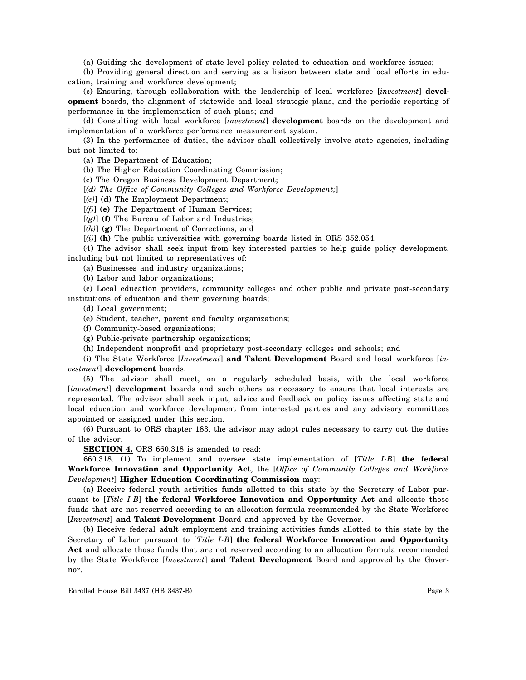(a) Guiding the development of state-level policy related to education and workforce issues;

(b) Providing general direction and serving as a liaison between state and local efforts in education, training and workforce development;

(c) Ensuring, through collaboration with the leadership of local workforce [*investment*] **development** boards, the alignment of statewide and local strategic plans, and the periodic reporting of performance in the implementation of such plans; and

(d) Consulting with local workforce [*investment*] **development** boards on the development and implementation of a workforce performance measurement system.

(3) In the performance of duties, the advisor shall collectively involve state agencies, including but not limited to:

(a) The Department of Education;

(b) The Higher Education Coordinating Commission;

(c) The Oregon Business Development Department;

[*(d) The Office of Community Colleges and Workforce Development;*]

[*(e)*] **(d)** The Employment Department;

[*(f)*] **(e)** The Department of Human Services;

[*(g)*] **(f)** The Bureau of Labor and Industries;

[*(h)*] **(g)** The Department of Corrections; and

[*(i)*] **(h)** The public universities with governing boards listed in ORS 352.054.

(4) The advisor shall seek input from key interested parties to help guide policy development, including but not limited to representatives of:

(a) Businesses and industry organizations;

(b) Labor and labor organizations;

(c) Local education providers, community colleges and other public and private post-secondary institutions of education and their governing boards;

(d) Local government;

(e) Student, teacher, parent and faculty organizations;

(f) Community-based organizations;

(g) Public-private partnership organizations;

(h) Independent nonprofit and proprietary post-secondary colleges and schools; and

(i) The State Workforce [*Investment*] **and Talent Development** Board and local workforce [*investment*] **development** boards.

(5) The advisor shall meet, on a regularly scheduled basis, with the local workforce [*investment*] **development** boards and such others as necessary to ensure that local interests are represented. The advisor shall seek input, advice and feedback on policy issues affecting state and local education and workforce development from interested parties and any advisory committees appointed or assigned under this section.

(6) Pursuant to ORS chapter 183, the advisor may adopt rules necessary to carry out the duties of the advisor.

**SECTION 4.** ORS 660.318 is amended to read:

660.318. (1) To implement and oversee state implementation of [*Title I-B*] **the federal Workforce Innovation and Opportunity Act**, the [*Office of Community Colleges and Workforce Development*] **Higher Education Coordinating Commission** may:

(a) Receive federal youth activities funds allotted to this state by the Secretary of Labor pursuant to [*Title I-B*] **the federal Workforce Innovation and Opportunity Act** and allocate those funds that are not reserved according to an allocation formula recommended by the State Workforce [*Investment*] **and Talent Development** Board and approved by the Governor.

(b) Receive federal adult employment and training activities funds allotted to this state by the Secretary of Labor pursuant to [*Title I-B*] **the federal Workforce Innovation and Opportunity Act** and allocate those funds that are not reserved according to an allocation formula recommended by the State Workforce [*Investment*] **and Talent Development** Board and approved by the Governor.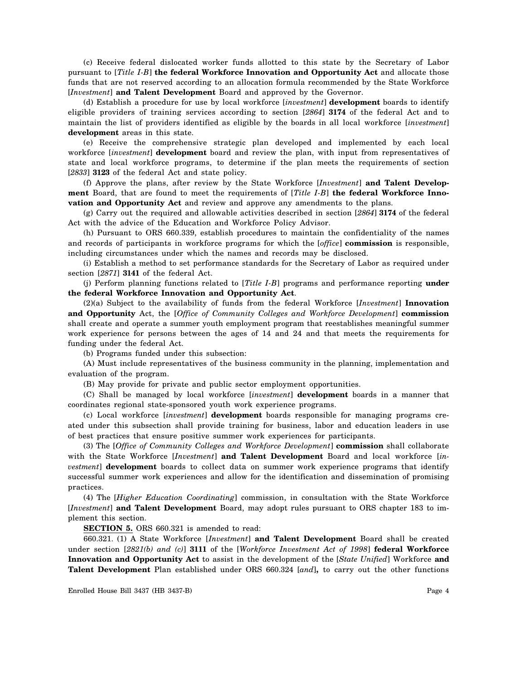(c) Receive federal dislocated worker funds allotted to this state by the Secretary of Labor pursuant to [*Title I-B*] **the federal Workforce Innovation and Opportunity Act** and allocate those funds that are not reserved according to an allocation formula recommended by the State Workforce [*Investment*] **and Talent Development** Board and approved by the Governor.

(d) Establish a procedure for use by local workforce [*investment*] **development** boards to identify eligible providers of training services according to section [*2864*] **3174** of the federal Act and to maintain the list of providers identified as eligible by the boards in all local workforce [*investment*] **development** areas in this state.

(e) Receive the comprehensive strategic plan developed and implemented by each local workforce [*investment*] **development** board and review the plan, with input from representatives of state and local workforce programs, to determine if the plan meets the requirements of section [*2833*] **3123** of the federal Act and state policy.

(f) Approve the plans, after review by the State Workforce [*Investment*] **and Talent Development** Board, that are found to meet the requirements of [*Title I-B*] **the federal Workforce Innovation and Opportunity Act** and review and approve any amendments to the plans.

(g) Carry out the required and allowable activities described in section [*2864*] **3174** of the federal Act with the advice of the Education and Workforce Policy Advisor.

(h) Pursuant to ORS 660.339, establish procedures to maintain the confidentiality of the names and records of participants in workforce programs for which the [*office*] **commission** is responsible, including circumstances under which the names and records may be disclosed.

(i) Establish a method to set performance standards for the Secretary of Labor as required under section [*2871*] **3141** of the federal Act.

(j) Perform planning functions related to [*Title I-B*] programs and performance reporting **under the federal Workforce Innovation and Opportunity Act**.

(2)(a) Subject to the availability of funds from the federal Workforce [*Investment*] **Innovation and Opportunity** Act, the [*Office of Community Colleges and Workforce Development*] **commission** shall create and operate a summer youth employment program that reestablishes meaningful summer work experience for persons between the ages of 14 and 24 and that meets the requirements for funding under the federal Act.

(b) Programs funded under this subsection:

(A) Must include representatives of the business community in the planning, implementation and evaluation of the program.

(B) May provide for private and public sector employment opportunities.

(C) Shall be managed by local workforce [*investment*] **development** boards in a manner that coordinates regional state-sponsored youth work experience programs.

(c) Local workforce [*investment*] **development** boards responsible for managing programs created under this subsection shall provide training for business, labor and education leaders in use of best practices that ensure positive summer work experiences for participants.

(3) The [*Office of Community Colleges and Workforce Development*] **commission** shall collaborate with the State Workforce [*Investment*] **and Talent Development** Board and local workforce [*investment*] **development** boards to collect data on summer work experience programs that identify successful summer work experiences and allow for the identification and dissemination of promising practices.

(4) The [*Higher Education Coordinating*] commission, in consultation with the State Workforce [*Investment*] **and Talent Development** Board, may adopt rules pursuant to ORS chapter 183 to implement this section.

**SECTION 5.** ORS 660.321 is amended to read:

660.321. (1) A State Workforce [*Investment*] **and Talent Development** Board shall be created under section [*2821(b) and (c)*] **3111** of the [*Workforce Investment Act of 1998*] **federal Workforce Innovation and Opportunity Act** to assist in the development of the [*State Unified*] Workforce **and Talent Development** Plan established under ORS 660.324 [*and*]**,** to carry out the other functions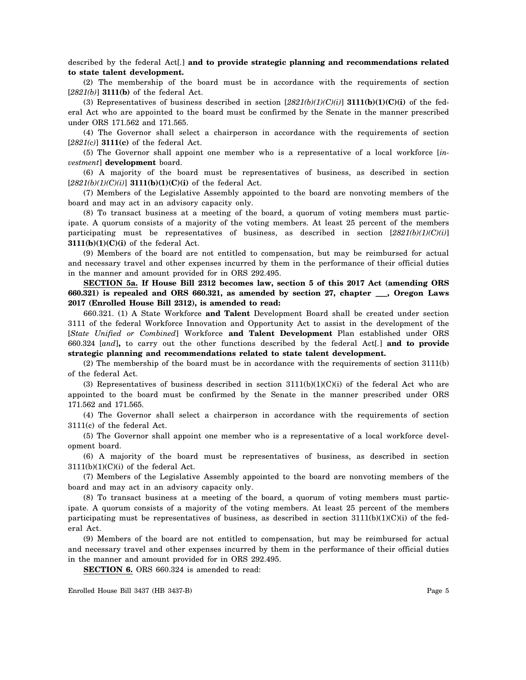described by the federal Act[*.*] **and to provide strategic planning and recommendations related to state talent development.**

(2) The membership of the board must be in accordance with the requirements of section [*2821(b)*] **3111(b)** of the federal Act.

(3) Representatives of business described in section [*2821(b)(1)(C)(i)*] **3111(b)(1)(C)(i)** of the federal Act who are appointed to the board must be confirmed by the Senate in the manner prescribed under ORS 171.562 and 171.565.

(4) The Governor shall select a chairperson in accordance with the requirements of section [*2821(c)*] **3111(c)** of the federal Act.

(5) The Governor shall appoint one member who is a representative of a local workforce [*investment*] **development** board.

(6) A majority of the board must be representatives of business, as described in section [*2821(b)(1)(C)(i)*] **3111(b)(1)(C)(i)** of the federal Act.

(7) Members of the Legislative Assembly appointed to the board are nonvoting members of the board and may act in an advisory capacity only.

(8) To transact business at a meeting of the board, a quorum of voting members must participate. A quorum consists of a majority of the voting members. At least 25 percent of the members participating must be representatives of business, as described in section [*2821(b)(1)(C)(i)*] **3111(b)(1)(C)(i)** of the federal Act.

(9) Members of the board are not entitled to compensation, but may be reimbursed for actual and necessary travel and other expenses incurred by them in the performance of their official duties in the manner and amount provided for in ORS 292.495.

**SECTION 5a. If House Bill 2312 becomes law, section 5 of this 2017 Act (amending ORS 660.321) is repealed and ORS 660.321, as amended by section 27, chapter \_\_\_, Oregon Laws 2017 (Enrolled House Bill 2312), is amended to read:**

660.321. (1) A State Workforce **and Talent** Development Board shall be created under section 3111 of the federal Workforce Innovation and Opportunity Act to assist in the development of the [*State Unified or Combined*] Workforce **and Talent Development** Plan established under ORS 660.324 [*and*]**,** to carry out the other functions described by the federal Act[*.*] **and to provide strategic planning and recommendations related to state talent development.**

(2) The membership of the board must be in accordance with the requirements of section 3111(b) of the federal Act.

(3) Representatives of business described in section  $3111(b)(1)(C)(i)$  of the federal Act who are appointed to the board must be confirmed by the Senate in the manner prescribed under ORS 171.562 and 171.565.

(4) The Governor shall select a chairperson in accordance with the requirements of section 3111(c) of the federal Act.

(5) The Governor shall appoint one member who is a representative of a local workforce development board.

(6) A majority of the board must be representatives of business, as described in section  $3111(b)(1)(C)(i)$  of the federal Act.

(7) Members of the Legislative Assembly appointed to the board are nonvoting members of the board and may act in an advisory capacity only.

(8) To transact business at a meeting of the board, a quorum of voting members must participate. A quorum consists of a majority of the voting members. At least 25 percent of the members participating must be representatives of business, as described in section  $3111(b)(1)(C)(i)$  of the federal Act.

(9) Members of the board are not entitled to compensation, but may be reimbursed for actual and necessary travel and other expenses incurred by them in the performance of their official duties in the manner and amount provided for in ORS 292.495.

**SECTION 6.** ORS 660.324 is amended to read: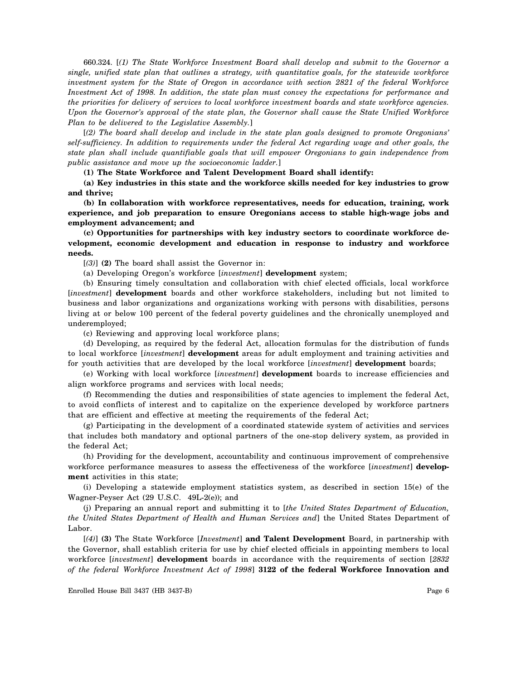660.324. [*(1) The State Workforce Investment Board shall develop and submit to the Governor a single, unified state plan that outlines a strategy, with quantitative goals, for the statewide workforce investment system for the State of Oregon in accordance with section 2821 of the federal Workforce Investment Act of 1998. In addition, the state plan must convey the expectations for performance and the priorities for delivery of services to local workforce investment boards and state workforce agencies. Upon the Governor's approval of the state plan, the Governor shall cause the State Unified Workforce Plan to be delivered to the Legislative Assembly.*]

[*(2) The board shall develop and include in the state plan goals designed to promote Oregonians' self-sufficiency. In addition to requirements under the federal Act regarding wage and other goals, the state plan shall include quantifiable goals that will empower Oregonians to gain independence from public assistance and move up the socioeconomic ladder.*]

**(1) The State Workforce and Talent Development Board shall identify:**

**(a) Key industries in this state and the workforce skills needed for key industries to grow and thrive;**

**(b) In collaboration with workforce representatives, needs for education, training, work experience, and job preparation to ensure Oregonians access to stable high-wage jobs and employment advancement; and**

**(c) Opportunities for partnerships with key industry sectors to coordinate workforce development, economic development and education in response to industry and workforce needs.**

[*(3)*] **(2)** The board shall assist the Governor in:

(a) Developing Oregon's workforce [*investment*] **development** system;

(b) Ensuring timely consultation and collaboration with chief elected officials, local workforce [*investment*] **development** boards and other workforce stakeholders, including but not limited to business and labor organizations and organizations working with persons with disabilities, persons living at or below 100 percent of the federal poverty guidelines and the chronically unemployed and underemployed;

(c) Reviewing and approving local workforce plans;

(d) Developing, as required by the federal Act, allocation formulas for the distribution of funds to local workforce [*investment*] **development** areas for adult employment and training activities and for youth activities that are developed by the local workforce [*investment*] **development** boards;

(e) Working with local workforce [*investment*] **development** boards to increase efficiencies and align workforce programs and services with local needs;

(f) Recommending the duties and responsibilities of state agencies to implement the federal Act, to avoid conflicts of interest and to capitalize on the experience developed by workforce partners that are efficient and effective at meeting the requirements of the federal Act;

(g) Participating in the development of a coordinated statewide system of activities and services that includes both mandatory and optional partners of the one-stop delivery system, as provided in the federal Act;

(h) Providing for the development, accountability and continuous improvement of comprehensive workforce performance measures to assess the effectiveness of the workforce [*investment*] **development** activities in this state;

(i) Developing a statewide employment statistics system, as described in section 15(e) of the Wagner-Peyser Act (29 U.S.C. 49L-2(e)); and

(j) Preparing an annual report and submitting it to [*the United States Department of Education, the United States Department of Health and Human Services and*] the United States Department of Labor.

[*(4)*] **(3)** The State Workforce [*Investment*] **and Talent Development** Board, in partnership with the Governor, shall establish criteria for use by chief elected officials in appointing members to local workforce [*investment*] **development** boards in accordance with the requirements of section [*2832 of the federal Workforce Investment Act of 1998*] **3122 of the federal Workforce Innovation and**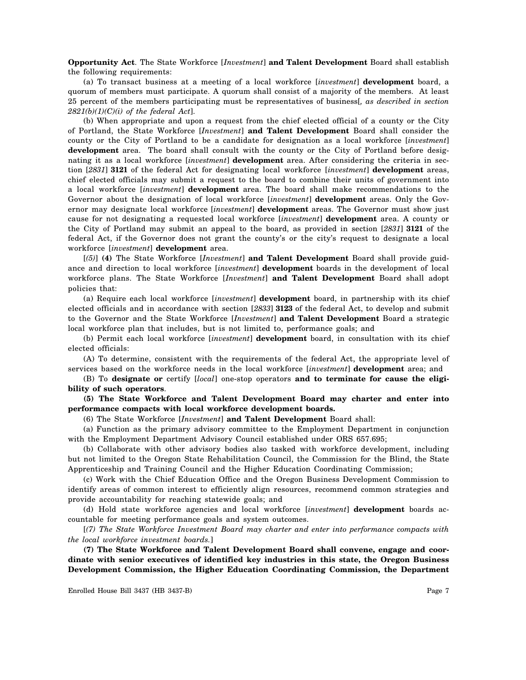**Opportunity Act**. The State Workforce [*Investment*] **and Talent Development** Board shall establish the following requirements:

(a) To transact business at a meeting of a local workforce [*investment*] **development** board, a quorum of members must participate. A quorum shall consist of a majority of the members. At least 25 percent of the members participating must be representatives of business[*, as described in section 2821(b)(1)(C)(i) of the federal Act*].

(b) When appropriate and upon a request from the chief elected official of a county or the City of Portland, the State Workforce [*Investment*] **and Talent Development** Board shall consider the county or the City of Portland to be a candidate for designation as a local workforce [*investment*] **development** area. The board shall consult with the county or the City of Portland before designating it as a local workforce [*investment*] **development** area. After considering the criteria in section [*2831*] **3121** of the federal Act for designating local workforce [*investment*] **development** areas, chief elected officials may submit a request to the board to combine their units of government into a local workforce [*investment*] **development** area. The board shall make recommendations to the Governor about the designation of local workforce [*investment*] **development** areas. Only the Governor may designate local workforce [*investment*] **development** areas. The Governor must show just cause for not designating a requested local workforce [*investment*] **development** area. A county or the City of Portland may submit an appeal to the board, as provided in section [*2831*] **3121** of the federal Act, if the Governor does not grant the county's or the city's request to designate a local workforce [*investment*] **development** area.

[*(5)*] **(4)** The State Workforce [*Investment*] **and Talent Development** Board shall provide guidance and direction to local workforce [*investment*] **development** boards in the development of local workforce plans. The State Workforce [*Investment*] **and Talent Development** Board shall adopt policies that:

(a) Require each local workforce [*investment*] **development** board, in partnership with its chief elected officials and in accordance with section [*2833*] **3123** of the federal Act, to develop and submit to the Governor and the State Workforce [*Investment*] **and Talent Development** Board a strategic local workforce plan that includes, but is not limited to, performance goals; and

(b) Permit each local workforce [*investment*] **development** board, in consultation with its chief elected officials:

(A) To determine, consistent with the requirements of the federal Act, the appropriate level of services based on the workforce needs in the local workforce [*investment*] **development** area; and

(B) To **designate or** certify [*local*] one-stop operators **and to terminate for cause the eligibility of such operators**.

**(5) The State Workforce and Talent Development Board may charter and enter into performance compacts with local workforce development boards.**

(6) The State Workforce [*Investment*] **and Talent Development** Board shall:

(a) Function as the primary advisory committee to the Employment Department in conjunction with the Employment Department Advisory Council established under ORS 657.695;

(b) Collaborate with other advisory bodies also tasked with workforce development, including but not limited to the Oregon State Rehabilitation Council, the Commission for the Blind, the State Apprenticeship and Training Council and the Higher Education Coordinating Commission;

(c) Work with the Chief Education Office and the Oregon Business Development Commission to identify areas of common interest to efficiently align resources, recommend common strategies and provide accountability for reaching statewide goals; and

(d) Hold state workforce agencies and local workforce [*investment*] **development** boards accountable for meeting performance goals and system outcomes.

[*(7) The State Workforce Investment Board may charter and enter into performance compacts with the local workforce investment boards.*]

**(7) The State Workforce and Talent Development Board shall convene, engage and coordinate with senior executives of identified key industries in this state, the Oregon Business Development Commission, the Higher Education Coordinating Commission, the Department**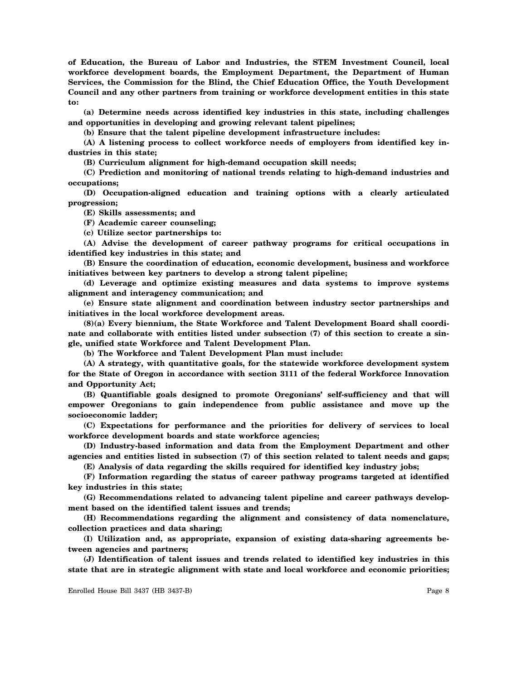**of Education, the Bureau of Labor and Industries, the STEM Investment Council, local workforce development boards, the Employment Department, the Department of Human Services, the Commission for the Blind, the Chief Education Office, the Youth Development Council and any other partners from training or workforce development entities in this state to:**

**(a) Determine needs across identified key industries in this state, including challenges and opportunities in developing and growing relevant talent pipelines;**

**(b) Ensure that the talent pipeline development infrastructure includes:**

**(A) A listening process to collect workforce needs of employers from identified key industries in this state;**

**(B) Curriculum alignment for high-demand occupation skill needs;**

**(C) Prediction and monitoring of national trends relating to high-demand industries and occupations;**

**(D) Occupation-aligned education and training options with a clearly articulated progression;**

**(E) Skills assessments; and**

**(F) Academic career counseling;**

**(c) Utilize sector partnerships to:**

**(A) Advise the development of career pathway programs for critical occupations in identified key industries in this state; and**

**(B) Ensure the coordination of education, economic development, business and workforce initiatives between key partners to develop a strong talent pipeline;**

**(d) Leverage and optimize existing measures and data systems to improve systems alignment and interagency communication; and**

**(e) Ensure state alignment and coordination between industry sector partnerships and initiatives in the local workforce development areas.**

**(8)(a) Every biennium, the State Workforce and Talent Development Board shall coordinate and collaborate with entities listed under subsection (7) of this section to create a single, unified state Workforce and Talent Development Plan.**

**(b) The Workforce and Talent Development Plan must include:**

**(A) A strategy, with quantitative goals, for the statewide workforce development system for the State of Oregon in accordance with section 3111 of the federal Workforce Innovation and Opportunity Act;**

**(B) Quantifiable goals designed to promote Oregonians' self-sufficiency and that will empower Oregonians to gain independence from public assistance and move up the socioeconomic ladder;**

**(C) Expectations for performance and the priorities for delivery of services to local workforce development boards and state workforce agencies;**

**(D) Industry-based information and data from the Employment Department and other agencies and entities listed in subsection (7) of this section related to talent needs and gaps;**

**(E) Analysis of data regarding the skills required for identified key industry jobs;**

**(F) Information regarding the status of career pathway programs targeted at identified key industries in this state;**

**(G) Recommendations related to advancing talent pipeline and career pathways development based on the identified talent issues and trends;**

**(H) Recommendations regarding the alignment and consistency of data nomenclature, collection practices and data sharing;**

**(I) Utilization and, as appropriate, expansion of existing data-sharing agreements between agencies and partners;**

**(J) Identification of talent issues and trends related to identified key industries in this state that are in strategic alignment with state and local workforce and economic priorities;**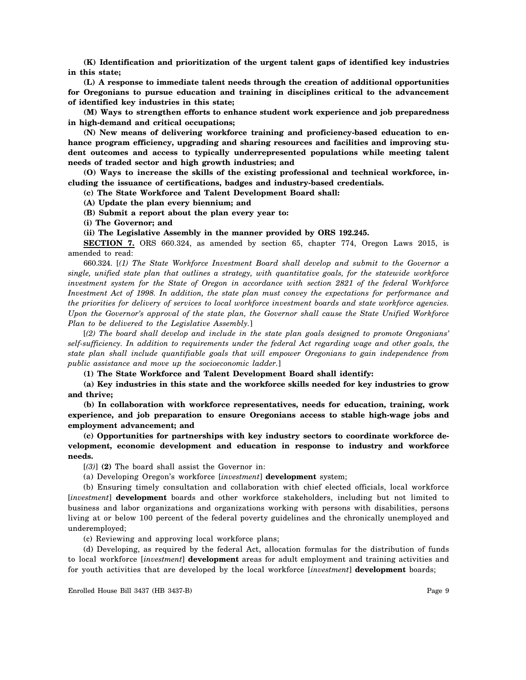**(K) Identification and prioritization of the urgent talent gaps of identified key industries in this state;**

**(L) A response to immediate talent needs through the creation of additional opportunities for Oregonians to pursue education and training in disciplines critical to the advancement of identified key industries in this state;**

**(M) Ways to strengthen efforts to enhance student work experience and job preparedness in high-demand and critical occupations;**

**(N) New means of delivering workforce training and proficiency-based education to en**hance program efficiency, upgrading and sharing resources and facilities and improving stu**dent outcomes and access to typically underrepresented populations while meeting talent needs of traded sector and high growth industries; and**

**(O) Ways to increase the skills of the existing professional and technical workforce, including the issuance of certifications, badges and industry-based credentials.**

**(c) The State Workforce and Talent Development Board shall:**

**(A) Update the plan every biennium; and**

**(B) Submit a report about the plan every year to:**

**(i) The Governor; and**

**(ii) The Legislative Assembly in the manner provided by ORS 192.245.**

**SECTION 7.** ORS 660.324, as amended by section 65, chapter 774, Oregon Laws 2015, is amended to read:

660.324. [*(1) The State Workforce Investment Board shall develop and submit to the Governor a single, unified state plan that outlines a strategy, with quantitative goals, for the statewide workforce investment system for the State of Oregon in accordance with section 2821 of the federal Workforce Investment Act of 1998. In addition, the state plan must convey the expectations for performance and the priorities for delivery of services to local workforce investment boards and state workforce agencies. Upon the Governor's approval of the state plan, the Governor shall cause the State Unified Workforce Plan to be delivered to the Legislative Assembly.*]

[*(2) The board shall develop and include in the state plan goals designed to promote Oregonians' self-sufficiency. In addition to requirements under the federal Act regarding wage and other goals, the state plan shall include quantifiable goals that will empower Oregonians to gain independence from public assistance and move up the socioeconomic ladder.*]

**(1) The State Workforce and Talent Development Board shall identify:**

**(a) Key industries in this state and the workforce skills needed for key industries to grow and thrive;**

**(b) In collaboration with workforce representatives, needs for education, training, work experience, and job preparation to ensure Oregonians access to stable high-wage jobs and employment advancement; and**

**(c) Opportunities for partnerships with key industry sectors to coordinate workforce development, economic development and education in response to industry and workforce needs.**

[*(3)*] **(2)** The board shall assist the Governor in:

(a) Developing Oregon's workforce [*investment*] **development** system;

(b) Ensuring timely consultation and collaboration with chief elected officials, local workforce [*investment*] **development** boards and other workforce stakeholders, including but not limited to business and labor organizations and organizations working with persons with disabilities, persons living at or below 100 percent of the federal poverty guidelines and the chronically unemployed and underemployed;

(c) Reviewing and approving local workforce plans;

(d) Developing, as required by the federal Act, allocation formulas for the distribution of funds to local workforce [*investment*] **development** areas for adult employment and training activities and for youth activities that are developed by the local workforce [*investment*] **development** boards;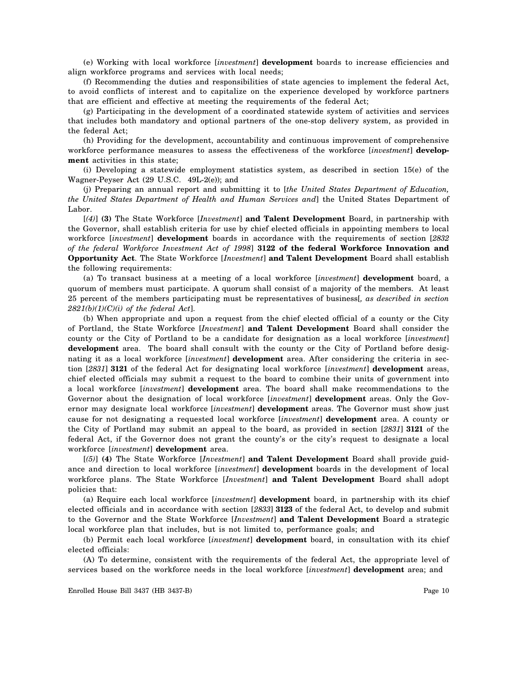(e) Working with local workforce [*investment*] **development** boards to increase efficiencies and align workforce programs and services with local needs;

(f) Recommending the duties and responsibilities of state agencies to implement the federal Act, to avoid conflicts of interest and to capitalize on the experience developed by workforce partners that are efficient and effective at meeting the requirements of the federal Act;

(g) Participating in the development of a coordinated statewide system of activities and services that includes both mandatory and optional partners of the one-stop delivery system, as provided in the federal Act;

(h) Providing for the development, accountability and continuous improvement of comprehensive workforce performance measures to assess the effectiveness of the workforce [*investment*] **development** activities in this state;

(i) Developing a statewide employment statistics system, as described in section 15(e) of the Wagner-Peyser Act (29 U.S.C. 49L-2(e)); and

(j) Preparing an annual report and submitting it to [*the United States Department of Education, the United States Department of Health and Human Services and*] the United States Department of Labor.

[*(4)*] **(3)** The State Workforce [*Investment*] **and Talent Development** Board, in partnership with the Governor, shall establish criteria for use by chief elected officials in appointing members to local workforce [*investment*] **development** boards in accordance with the requirements of section [*2832 of the federal Workforce Investment Act of 1998*] **3122 of the federal Workforce Innovation and Opportunity Act**. The State Workforce [*Investment*] **and Talent Development** Board shall establish the following requirements:

(a) To transact business at a meeting of a local workforce [*investment*] **development** board, a quorum of members must participate. A quorum shall consist of a majority of the members. At least 25 percent of the members participating must be representatives of business[*, as described in section 2821(b)(1)(C)(i) of the federal Act*].

(b) When appropriate and upon a request from the chief elected official of a county or the City of Portland, the State Workforce [*Investment*] **and Talent Development** Board shall consider the county or the City of Portland to be a candidate for designation as a local workforce [*investment*] **development** area. The board shall consult with the county or the City of Portland before designating it as a local workforce [*investment*] **development** area. After considering the criteria in section [*2831*] **3121** of the federal Act for designating local workforce [*investment*] **development** areas, chief elected officials may submit a request to the board to combine their units of government into a local workforce [*investment*] **development** area. The board shall make recommendations to the Governor about the designation of local workforce [*investment*] **development** areas. Only the Governor may designate local workforce [*investment*] **development** areas. The Governor must show just cause for not designating a requested local workforce [*investment*] **development** area. A county or the City of Portland may submit an appeal to the board, as provided in section [*2831*] **3121** of the federal Act, if the Governor does not grant the county's or the city's request to designate a local workforce [*investment*] **development** area.

[*(5)*] **(4)** The State Workforce [*Investment*] **and Talent Development** Board shall provide guidance and direction to local workforce [*investment*] **development** boards in the development of local workforce plans. The State Workforce [*Investment*] **and Talent Development** Board shall adopt policies that:

(a) Require each local workforce [*investment*] **development** board, in partnership with its chief elected officials and in accordance with section [*2833*] **3123** of the federal Act, to develop and submit to the Governor and the State Workforce [*Investment*] **and Talent Development** Board a strategic local workforce plan that includes, but is not limited to, performance goals; and

(b) Permit each local workforce [*investment*] **development** board, in consultation with its chief elected officials:

(A) To determine, consistent with the requirements of the federal Act, the appropriate level of services based on the workforce needs in the local workforce [*investment*] **development** area; and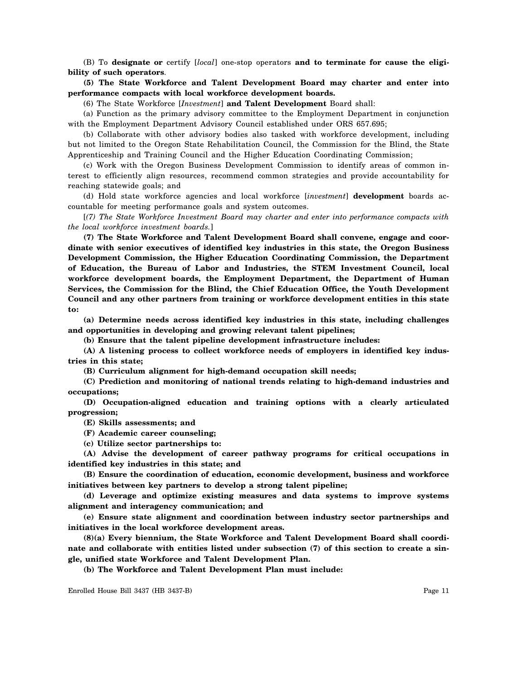(B) To **designate or** certify [*local*] one-stop operators **and to terminate for cause the eligibility of such operators**.

**(5) The State Workforce and Talent Development Board may charter and enter into performance compacts with local workforce development boards.**

(6) The State Workforce [*Investment*] **and Talent Development** Board shall:

(a) Function as the primary advisory committee to the Employment Department in conjunction with the Employment Department Advisory Council established under ORS 657.695;

(b) Collaborate with other advisory bodies also tasked with workforce development, including but not limited to the Oregon State Rehabilitation Council, the Commission for the Blind, the State Apprenticeship and Training Council and the Higher Education Coordinating Commission;

(c) Work with the Oregon Business Development Commission to identify areas of common interest to efficiently align resources, recommend common strategies and provide accountability for reaching statewide goals; and

(d) Hold state workforce agencies and local workforce [*investment*] **development** boards accountable for meeting performance goals and system outcomes.

[*(7) The State Workforce Investment Board may charter and enter into performance compacts with the local workforce investment boards.*]

**(7) The State Workforce and Talent Development Board shall convene, engage and coordinate with senior executives of identified key industries in this state, the Oregon Business Development Commission, the Higher Education Coordinating Commission, the Department of Education, the Bureau of Labor and Industries, the STEM Investment Council, local workforce development boards, the Employment Department, the Department of Human Services, the Commission for the Blind, the Chief Education Office, the Youth Development Council and any other partners from training or workforce development entities in this state to:**

**(a) Determine needs across identified key industries in this state, including challenges and opportunities in developing and growing relevant talent pipelines;**

**(b) Ensure that the talent pipeline development infrastructure includes:**

**(A) A listening process to collect workforce needs of employers in identified key industries in this state;**

**(B) Curriculum alignment for high-demand occupation skill needs;**

**(C) Prediction and monitoring of national trends relating to high-demand industries and occupations;**

**(D) Occupation-aligned education and training options with a clearly articulated progression;**

**(E) Skills assessments; and**

**(F) Academic career counseling;**

**(c) Utilize sector partnerships to:**

**(A) Advise the development of career pathway programs for critical occupations in identified key industries in this state; and**

**(B) Ensure the coordination of education, economic development, business and workforce initiatives between key partners to develop a strong talent pipeline;**

**(d) Leverage and optimize existing measures and data systems to improve systems alignment and interagency communication; and**

**(e) Ensure state alignment and coordination between industry sector partnerships and initiatives in the local workforce development areas.**

**(8)(a) Every biennium, the State Workforce and Talent Development Board shall coordinate and collaborate with entities listed under subsection (7) of this section to create a single, unified state Workforce and Talent Development Plan.**

**(b) The Workforce and Talent Development Plan must include:**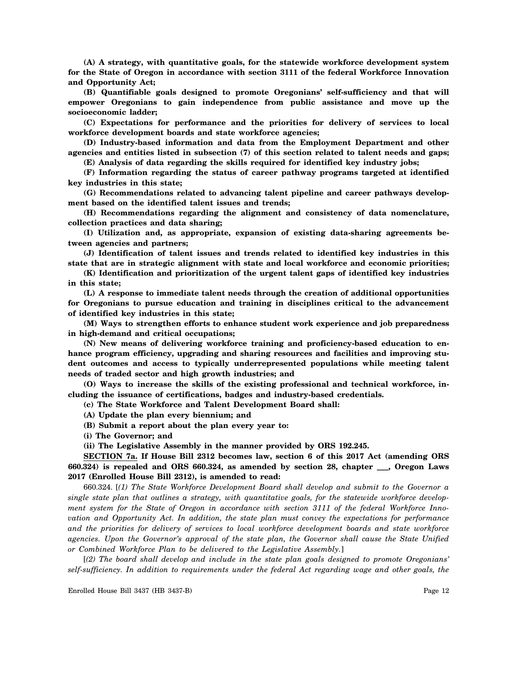**(A) A strategy, with quantitative goals, for the statewide workforce development system for the State of Oregon in accordance with section 3111 of the federal Workforce Innovation and Opportunity Act;**

**(B) Quantifiable goals designed to promote Oregonians' self-sufficiency and that will empower Oregonians to gain independence from public assistance and move up the socioeconomic ladder;**

**(C) Expectations for performance and the priorities for delivery of services to local workforce development boards and state workforce agencies;**

**(D) Industry-based information and data from the Employment Department and other agencies and entities listed in subsection (7) of this section related to talent needs and gaps; (E) Analysis of data regarding the skills required for identified key industry jobs;**

**(F) Information regarding the status of career pathway programs targeted at identified key industries in this state;**

**(G) Recommendations related to advancing talent pipeline and career pathways development based on the identified talent issues and trends;**

**(H) Recommendations regarding the alignment and consistency of data nomenclature, collection practices and data sharing;**

**(I) Utilization and, as appropriate, expansion of existing data-sharing agreements between agencies and partners;**

**(J) Identification of talent issues and trends related to identified key industries in this state that are in strategic alignment with state and local workforce and economic priorities;**

**(K) Identification and prioritization of the urgent talent gaps of identified key industries in this state;**

**(L) A response to immediate talent needs through the creation of additional opportunities for Oregonians to pursue education and training in disciplines critical to the advancement of identified key industries in this state;**

**(M) Ways to strengthen efforts to enhance student work experience and job preparedness in high-demand and critical occupations;**

**(N) New means of delivering workforce training and proficiency-based education to enhance program efficiency, upgrading and sharing resources and facilities and improving student outcomes and access to typically underrepresented populations while meeting talent needs of traded sector and high growth industries; and**

**(O) Ways to increase the skills of the existing professional and technical workforce, including the issuance of certifications, badges and industry-based credentials.**

**(c) The State Workforce and Talent Development Board shall:**

**(A) Update the plan every biennium; and**

**(B) Submit a report about the plan every year to:**

**(i) The Governor; and**

**(ii) The Legislative Assembly in the manner provided by ORS 192.245.**

**SECTION 7a. If House Bill 2312 becomes law, section 6 of this 2017 Act (amending ORS 660.324) is repealed and ORS 660.324, as amended by section 28, chapter \_\_\_, Oregon Laws 2017 (Enrolled House Bill 2312), is amended to read:**

660.324. [*(1) The State Workforce Development Board shall develop and submit to the Governor a single state plan that outlines a strategy, with quantitative goals, for the statewide workforce development system for the State of Oregon in accordance with section 3111 of the federal Workforce Innovation and Opportunity Act. In addition, the state plan must convey the expectations for performance and the priorities for delivery of services to local workforce development boards and state workforce agencies. Upon the Governor's approval of the state plan, the Governor shall cause the State Unified or Combined Workforce Plan to be delivered to the Legislative Assembly.*]

[*(2) The board shall develop and include in the state plan goals designed to promote Oregonians' self-sufficiency. In addition to requirements under the federal Act regarding wage and other goals, the*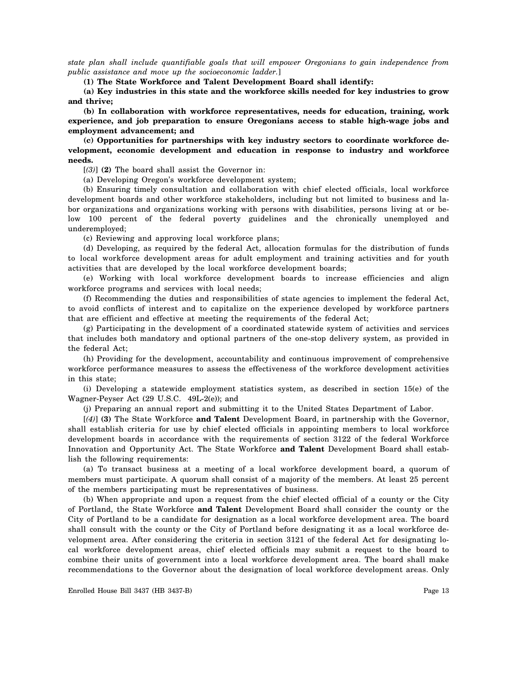*state plan shall include quantifiable goals that will empower Oregonians to gain independence from public assistance and move up the socioeconomic ladder.*]

**(1) The State Workforce and Talent Development Board shall identify:**

**(a) Key industries in this state and the workforce skills needed for key industries to grow and thrive;**

**(b) In collaboration with workforce representatives, needs for education, training, work experience, and job preparation to ensure Oregonians access to stable high-wage jobs and employment advancement; and**

**(c) Opportunities for partnerships with key industry sectors to coordinate workforce development, economic development and education in response to industry and workforce needs.**

[*(3)*] **(2)** The board shall assist the Governor in:

(a) Developing Oregon's workforce development system;

(b) Ensuring timely consultation and collaboration with chief elected officials, local workforce development boards and other workforce stakeholders, including but not limited to business and labor organizations and organizations working with persons with disabilities, persons living at or below 100 percent of the federal poverty guidelines and the chronically unemployed and underemployed;

(c) Reviewing and approving local workforce plans;

(d) Developing, as required by the federal Act, allocation formulas for the distribution of funds to local workforce development areas for adult employment and training activities and for youth activities that are developed by the local workforce development boards;

(e) Working with local workforce development boards to increase efficiencies and align workforce programs and services with local needs;

(f) Recommending the duties and responsibilities of state agencies to implement the federal Act, to avoid conflicts of interest and to capitalize on the experience developed by workforce partners that are efficient and effective at meeting the requirements of the federal Act;

(g) Participating in the development of a coordinated statewide system of activities and services that includes both mandatory and optional partners of the one-stop delivery system, as provided in the federal Act;

(h) Providing for the development, accountability and continuous improvement of comprehensive workforce performance measures to assess the effectiveness of the workforce development activities in this state;

(i) Developing a statewide employment statistics system, as described in section 15(e) of the Wagner-Peyser Act (29 U.S.C. 49L-2(e)); and

(j) Preparing an annual report and submitting it to the United States Department of Labor.

[*(4)*] **(3)** The State Workforce **and Talent** Development Board, in partnership with the Governor, shall establish criteria for use by chief elected officials in appointing members to local workforce development boards in accordance with the requirements of section 3122 of the federal Workforce Innovation and Opportunity Act. The State Workforce **and Talent** Development Board shall establish the following requirements:

(a) To transact business at a meeting of a local workforce development board, a quorum of members must participate. A quorum shall consist of a majority of the members. At least 25 percent of the members participating must be representatives of business.

(b) When appropriate and upon a request from the chief elected official of a county or the City of Portland, the State Workforce **and Talent** Development Board shall consider the county or the City of Portland to be a candidate for designation as a local workforce development area. The board shall consult with the county or the City of Portland before designating it as a local workforce development area. After considering the criteria in section 3121 of the federal Act for designating local workforce development areas, chief elected officials may submit a request to the board to combine their units of government into a local workforce development area. The board shall make recommendations to the Governor about the designation of local workforce development areas. Only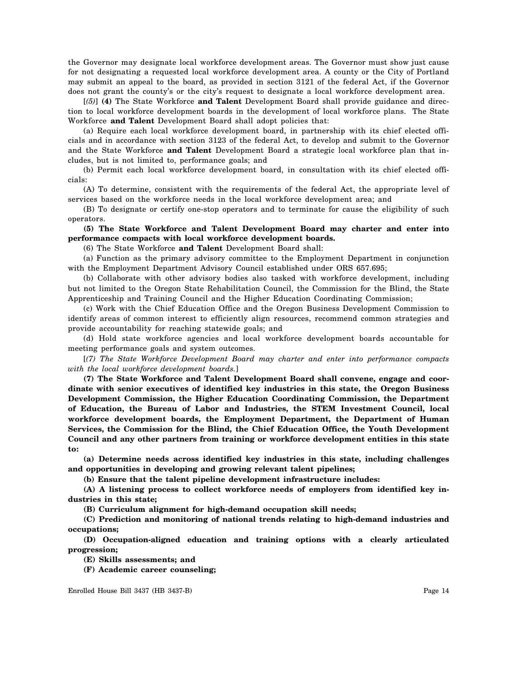the Governor may designate local workforce development areas. The Governor must show just cause for not designating a requested local workforce development area. A county or the City of Portland may submit an appeal to the board, as provided in section 3121 of the federal Act, if the Governor does not grant the county's or the city's request to designate a local workforce development area.

[*(5)*] **(4)** The State Workforce **and Talent** Development Board shall provide guidance and direction to local workforce development boards in the development of local workforce plans. The State Workforce **and Talent** Development Board shall adopt policies that:

(a) Require each local workforce development board, in partnership with its chief elected officials and in accordance with section 3123 of the federal Act, to develop and submit to the Governor and the State Workforce **and Talent** Development Board a strategic local workforce plan that includes, but is not limited to, performance goals; and

(b) Permit each local workforce development board, in consultation with its chief elected officials:

(A) To determine, consistent with the requirements of the federal Act, the appropriate level of services based on the workforce needs in the local workforce development area; and

(B) To designate or certify one-stop operators and to terminate for cause the eligibility of such operators.

**(5) The State Workforce and Talent Development Board may charter and enter into performance compacts with local workforce development boards.**

(6) The State Workforce **and Talent** Development Board shall:

(a) Function as the primary advisory committee to the Employment Department in conjunction with the Employment Department Advisory Council established under ORS 657.695;

(b) Collaborate with other advisory bodies also tasked with workforce development, including but not limited to the Oregon State Rehabilitation Council, the Commission for the Blind, the State Apprenticeship and Training Council and the Higher Education Coordinating Commission;

(c) Work with the Chief Education Office and the Oregon Business Development Commission to identify areas of common interest to efficiently align resources, recommend common strategies and provide accountability for reaching statewide goals; and

(d) Hold state workforce agencies and local workforce development boards accountable for meeting performance goals and system outcomes.

[*(7) The State Workforce Development Board may charter and enter into performance compacts with the local workforce development boards.*]

**(7) The State Workforce and Talent Development Board shall convene, engage and coordinate with senior executives of identified key industries in this state, the Oregon Business Development Commission, the Higher Education Coordinating Commission, the Department of Education, the Bureau of Labor and Industries, the STEM Investment Council, local workforce development boards, the Employment Department, the Department of Human Services, the Commission for the Blind, the Chief Education Office, the Youth Development Council and any other partners from training or workforce development entities in this state to:**

**(a) Determine needs across identified key industries in this state, including challenges and opportunities in developing and growing relevant talent pipelines;**

**(b) Ensure that the talent pipeline development infrastructure includes:**

**(A) A listening process to collect workforce needs of employers from identified key industries in this state;**

**(B) Curriculum alignment for high-demand occupation skill needs;**

**(C) Prediction and monitoring of national trends relating to high-demand industries and occupations;**

**(D) Occupation-aligned education and training options with a clearly articulated progression;**

**(E) Skills assessments; and**

**(F) Academic career counseling;**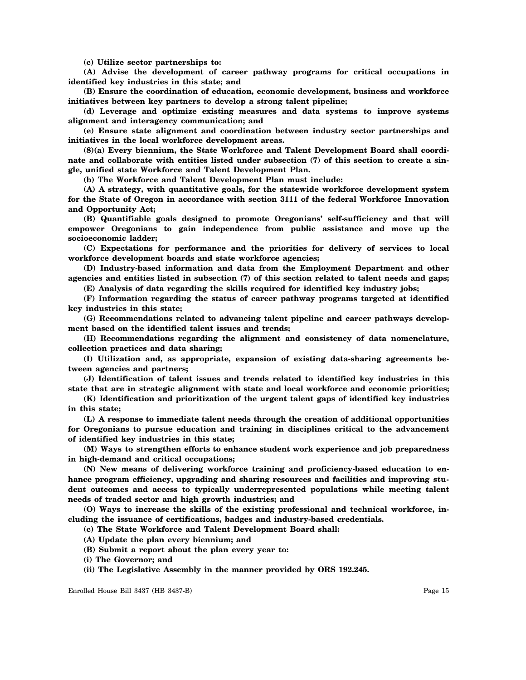**(c) Utilize sector partnerships to:**

**(A) Advise the development of career pathway programs for critical occupations in identified key industries in this state; and**

**(B) Ensure the coordination of education, economic development, business and workforce initiatives between key partners to develop a strong talent pipeline;**

**(d) Leverage and optimize existing measures and data systems to improve systems alignment and interagency communication; and**

**(e) Ensure state alignment and coordination between industry sector partnerships and initiatives in the local workforce development areas.**

**(8)(a) Every biennium, the State Workforce and Talent Development Board shall coordinate and collaborate with entities listed under subsection (7) of this section to create a single, unified state Workforce and Talent Development Plan.**

**(b) The Workforce and Talent Development Plan must include:**

**(A) A strategy, with quantitative goals, for the statewide workforce development system for the State of Oregon in accordance with section 3111 of the federal Workforce Innovation and Opportunity Act;**

**(B) Quantifiable goals designed to promote Oregonians' self-sufficiency and that will empower Oregonians to gain independence from public assistance and move up the socioeconomic ladder;**

**(C) Expectations for performance and the priorities for delivery of services to local workforce development boards and state workforce agencies;**

**(D) Industry-based information and data from the Employment Department and other agencies and entities listed in subsection (7) of this section related to talent needs and gaps;**

**(E) Analysis of data regarding the skills required for identified key industry jobs;**

**(F) Information regarding the status of career pathway programs targeted at identified key industries in this state;**

**(G) Recommendations related to advancing talent pipeline and career pathways development based on the identified talent issues and trends;**

**(H) Recommendations regarding the alignment and consistency of data nomenclature, collection practices and data sharing;**

**(I) Utilization and, as appropriate, expansion of existing data-sharing agreements between agencies and partners;**

**(J) Identification of talent issues and trends related to identified key industries in this state that are in strategic alignment with state and local workforce and economic priorities;**

**(K) Identification and prioritization of the urgent talent gaps of identified key industries in this state;**

**(L) A response to immediate talent needs through the creation of additional opportunities for Oregonians to pursue education and training in disciplines critical to the advancement of identified key industries in this state;**

**(M) Ways to strengthen efforts to enhance student work experience and job preparedness in high-demand and critical occupations;**

**(N) New means of delivering workforce training and proficiency-based education to en**hance program efficiency, upgrading and sharing resources and facilities and improving stu**dent outcomes and access to typically underrepresented populations while meeting talent needs of traded sector and high growth industries; and**

**(O) Ways to increase the skills of the existing professional and technical workforce, including the issuance of certifications, badges and industry-based credentials.**

**(c) The State Workforce and Talent Development Board shall:**

- **(A) Update the plan every biennium; and**
- **(B) Submit a report about the plan every year to:**

**(i) The Governor; and**

**(ii) The Legislative Assembly in the manner provided by ORS 192.245.**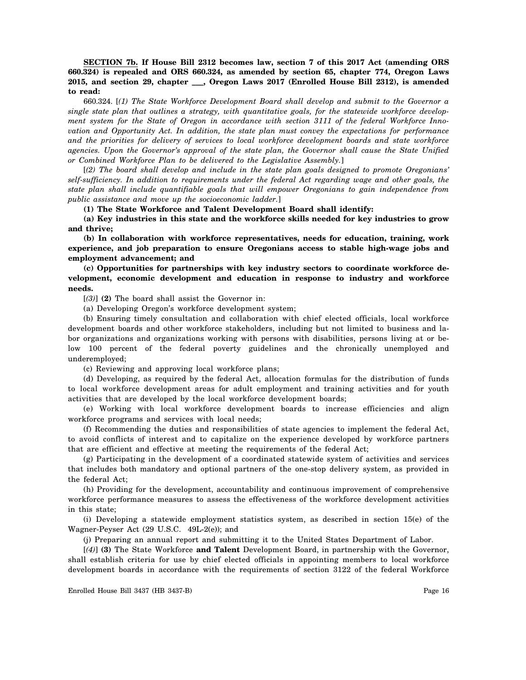**SECTION 7b. If House Bill 2312 becomes law, section 7 of this 2017 Act (amending ORS 660.324) is repealed and ORS 660.324, as amended by section 65, chapter 774, Oregon Laws 2015, and section 29, chapter \_\_\_, Oregon Laws 2017 (Enrolled House Bill 2312), is amended to read:**

660.324. [*(1) The State Workforce Development Board shall develop and submit to the Governor a single state plan that outlines a strategy, with quantitative goals, for the statewide workforce development system for the State of Oregon in accordance with section 3111 of the federal Workforce Innovation and Opportunity Act. In addition, the state plan must convey the expectations for performance and the priorities for delivery of services to local workforce development boards and state workforce agencies. Upon the Governor's approval of the state plan, the Governor shall cause the State Unified or Combined Workforce Plan to be delivered to the Legislative Assembly.*]

[*(2) The board shall develop and include in the state plan goals designed to promote Oregonians' self-sufficiency. In addition to requirements under the federal Act regarding wage and other goals, the state plan shall include quantifiable goals that will empower Oregonians to gain independence from public assistance and move up the socioeconomic ladder.*]

**(1) The State Workforce and Talent Development Board shall identify:**

**(a) Key industries in this state and the workforce skills needed for key industries to grow and thrive;**

**(b) In collaboration with workforce representatives, needs for education, training, work experience, and job preparation to ensure Oregonians access to stable high-wage jobs and employment advancement; and**

**(c) Opportunities for partnerships with key industry sectors to coordinate workforce development, economic development and education in response to industry and workforce needs.**

[*(3)*] **(2)** The board shall assist the Governor in:

(a) Developing Oregon's workforce development system;

(b) Ensuring timely consultation and collaboration with chief elected officials, local workforce development boards and other workforce stakeholders, including but not limited to business and labor organizations and organizations working with persons with disabilities, persons living at or below 100 percent of the federal poverty guidelines and the chronically unemployed and underemployed;

(c) Reviewing and approving local workforce plans;

(d) Developing, as required by the federal Act, allocation formulas for the distribution of funds to local workforce development areas for adult employment and training activities and for youth activities that are developed by the local workforce development boards;

(e) Working with local workforce development boards to increase efficiencies and align workforce programs and services with local needs;

(f) Recommending the duties and responsibilities of state agencies to implement the federal Act, to avoid conflicts of interest and to capitalize on the experience developed by workforce partners that are efficient and effective at meeting the requirements of the federal Act;

(g) Participating in the development of a coordinated statewide system of activities and services that includes both mandatory and optional partners of the one-stop delivery system, as provided in the federal Act;

(h) Providing for the development, accountability and continuous improvement of comprehensive workforce performance measures to assess the effectiveness of the workforce development activities in this state;

(i) Developing a statewide employment statistics system, as described in section 15(e) of the Wagner-Peyser Act (29 U.S.C. 49L-2(e)); and

(j) Preparing an annual report and submitting it to the United States Department of Labor.

[*(4)*] **(3)** The State Workforce **and Talent** Development Board, in partnership with the Governor, shall establish criteria for use by chief elected officials in appointing members to local workforce development boards in accordance with the requirements of section 3122 of the federal Workforce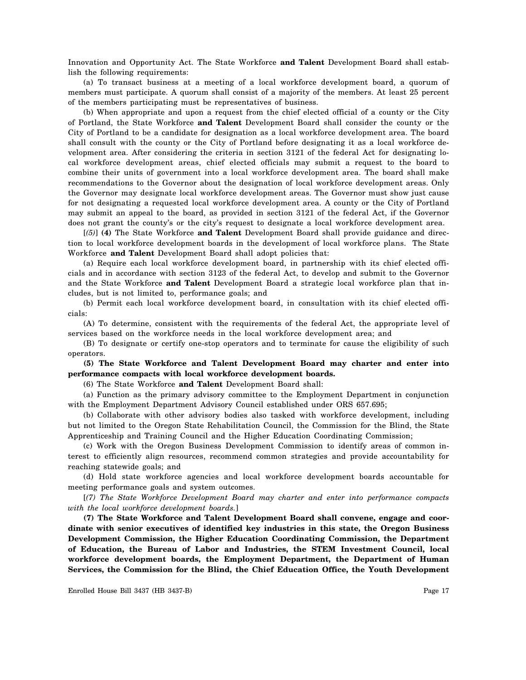Innovation and Opportunity Act. The State Workforce **and Talent** Development Board shall establish the following requirements:

(a) To transact business at a meeting of a local workforce development board, a quorum of members must participate. A quorum shall consist of a majority of the members. At least 25 percent of the members participating must be representatives of business.

(b) When appropriate and upon a request from the chief elected official of a county or the City of Portland, the State Workforce **and Talent** Development Board shall consider the county or the City of Portland to be a candidate for designation as a local workforce development area. The board shall consult with the county or the City of Portland before designating it as a local workforce development area. After considering the criteria in section 3121 of the federal Act for designating local workforce development areas, chief elected officials may submit a request to the board to combine their units of government into a local workforce development area. The board shall make recommendations to the Governor about the designation of local workforce development areas. Only the Governor may designate local workforce development areas. The Governor must show just cause for not designating a requested local workforce development area. A county or the City of Portland may submit an appeal to the board, as provided in section 3121 of the federal Act, if the Governor does not grant the county's or the city's request to designate a local workforce development area.

[*(5)*] **(4)** The State Workforce **and Talent** Development Board shall provide guidance and direction to local workforce development boards in the development of local workforce plans. The State Workforce **and Talent** Development Board shall adopt policies that:

(a) Require each local workforce development board, in partnership with its chief elected officials and in accordance with section 3123 of the federal Act, to develop and submit to the Governor and the State Workforce **and Talent** Development Board a strategic local workforce plan that includes, but is not limited to, performance goals; and

(b) Permit each local workforce development board, in consultation with its chief elected officials:

(A) To determine, consistent with the requirements of the federal Act, the appropriate level of services based on the workforce needs in the local workforce development area; and

(B) To designate or certify one-stop operators and to terminate for cause the eligibility of such operators.

# **(5) The State Workforce and Talent Development Board may charter and enter into performance compacts with local workforce development boards.**

(6) The State Workforce **and Talent** Development Board shall:

(a) Function as the primary advisory committee to the Employment Department in conjunction with the Employment Department Advisory Council established under ORS 657.695;

(b) Collaborate with other advisory bodies also tasked with workforce development, including but not limited to the Oregon State Rehabilitation Council, the Commission for the Blind, the State Apprenticeship and Training Council and the Higher Education Coordinating Commission;

(c) Work with the Oregon Business Development Commission to identify areas of common interest to efficiently align resources, recommend common strategies and provide accountability for reaching statewide goals; and

(d) Hold state workforce agencies and local workforce development boards accountable for meeting performance goals and system outcomes.

[*(7) The State Workforce Development Board may charter and enter into performance compacts with the local workforce development boards.*]

**(7) The State Workforce and Talent Development Board shall convene, engage and coordinate with senior executives of identified key industries in this state, the Oregon Business Development Commission, the Higher Education Coordinating Commission, the Department of Education, the Bureau of Labor and Industries, the STEM Investment Council, local workforce development boards, the Employment Department, the Department of Human Services, the Commission for the Blind, the Chief Education Office, the Youth Development**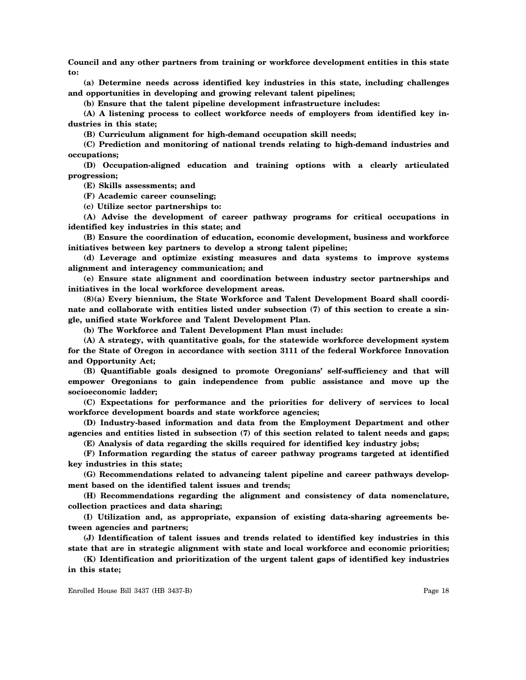**Council and any other partners from training or workforce development entities in this state to:**

**(a) Determine needs across identified key industries in this state, including challenges and opportunities in developing and growing relevant talent pipelines;**

**(b) Ensure that the talent pipeline development infrastructure includes:**

**(A) A listening process to collect workforce needs of employers from identified key industries in this state;**

**(B) Curriculum alignment for high-demand occupation skill needs;**

**(C) Prediction and monitoring of national trends relating to high-demand industries and occupations;**

**(D) Occupation-aligned education and training options with a clearly articulated progression;**

**(E) Skills assessments; and**

**(F) Academic career counseling;**

**(c) Utilize sector partnerships to:**

**(A) Advise the development of career pathway programs for critical occupations in identified key industries in this state; and**

**(B) Ensure the coordination of education, economic development, business and workforce initiatives between key partners to develop a strong talent pipeline;**

**(d) Leverage and optimize existing measures and data systems to improve systems alignment and interagency communication; and**

**(e) Ensure state alignment and coordination between industry sector partnerships and initiatives in the local workforce development areas.**

**(8)(a) Every biennium, the State Workforce and Talent Development Board shall coordinate and collaborate with entities listed under subsection (7) of this section to create a single, unified state Workforce and Talent Development Plan.**

**(b) The Workforce and Talent Development Plan must include:**

**(A) A strategy, with quantitative goals, for the statewide workforce development system for the State of Oregon in accordance with section 3111 of the federal Workforce Innovation and Opportunity Act;**

**(B) Quantifiable goals designed to promote Oregonians' self-sufficiency and that will empower Oregonians to gain independence from public assistance and move up the socioeconomic ladder;**

**(C) Expectations for performance and the priorities for delivery of services to local workforce development boards and state workforce agencies;**

**(D) Industry-based information and data from the Employment Department and other agencies and entities listed in subsection (7) of this section related to talent needs and gaps;**

**(E) Analysis of data regarding the skills required for identified key industry jobs;**

**(F) Information regarding the status of career pathway programs targeted at identified key industries in this state;**

**(G) Recommendations related to advancing talent pipeline and career pathways development based on the identified talent issues and trends;**

**(H) Recommendations regarding the alignment and consistency of data nomenclature, collection practices and data sharing;**

**(I) Utilization and, as appropriate, expansion of existing data-sharing agreements between agencies and partners;**

**(J) Identification of talent issues and trends related to identified key industries in this state that are in strategic alignment with state and local workforce and economic priorities;**

**(K) Identification and prioritization of the urgent talent gaps of identified key industries in this state;**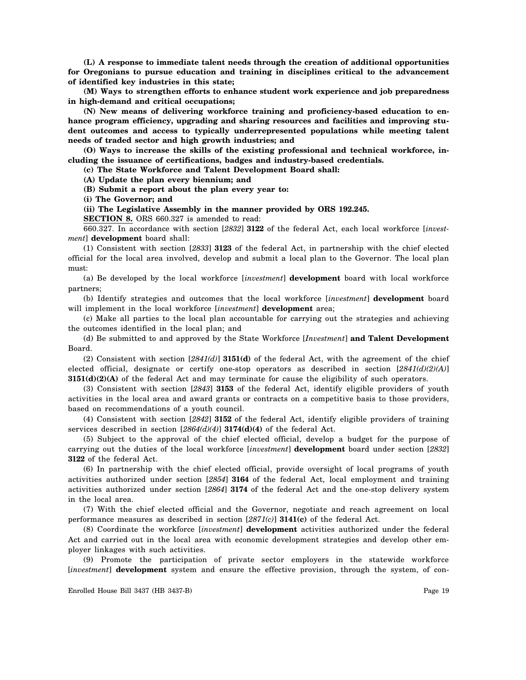**(L) A response to immediate talent needs through the creation of additional opportunities for Oregonians to pursue education and training in disciplines critical to the advancement of identified key industries in this state;**

**(M) Ways to strengthen efforts to enhance student work experience and job preparedness in high-demand and critical occupations;**

**(N) New means of delivering workforce training and proficiency-based education to enhance program efficiency, upgrading and sharing resources and facilities and improving student outcomes and access to typically underrepresented populations while meeting talent needs of traded sector and high growth industries; and**

**(O) Ways to increase the skills of the existing professional and technical workforce, including the issuance of certifications, badges and industry-based credentials.**

**(c) The State Workforce and Talent Development Board shall:**

**(A) Update the plan every biennium; and**

**(B) Submit a report about the plan every year to:**

**(i) The Governor; and**

**(ii) The Legislative Assembly in the manner provided by ORS 192.245.**

**SECTION 8.** ORS 660.327 is amended to read:

660.327. In accordance with section [*2832*] **3122** of the federal Act, each local workforce [*investment*] **development** board shall:

(1) Consistent with section [*2833*] **3123** of the federal Act, in partnership with the chief elected official for the local area involved, develop and submit a local plan to the Governor. The local plan must:

(a) Be developed by the local workforce [*investment*] **development** board with local workforce partners;

(b) Identify strategies and outcomes that the local workforce [*investment*] **development** board will implement in the local workforce [*investment*] **development** area;

(c) Make all parties to the local plan accountable for carrying out the strategies and achieving the outcomes identified in the local plan; and

(d) Be submitted to and approved by the State Workforce [*Investment*] **and Talent Development** Board.

(2) Consistent with section [*2841(d)*] **3151(d)** of the federal Act, with the agreement of the chief elected official, designate or certify one-stop operators as described in section [*2841(d)(2)(A)*] **3151(d)(2)(A)** of the federal Act and may terminate for cause the eligibility of such operators.

(3) Consistent with section [*2843*] **3153** of the federal Act, identify eligible providers of youth activities in the local area and award grants or contracts on a competitive basis to those providers, based on recommendations of a youth council.

(4) Consistent with section [*2842*] **3152** of the federal Act, identify eligible providers of training services described in section [*2864(d)(4)*] **3174(d)(4)** of the federal Act.

(5) Subject to the approval of the chief elected official, develop a budget for the purpose of carrying out the duties of the local workforce [*investment*] **development** board under section [*2832*] **3122** of the federal Act.

(6) In partnership with the chief elected official, provide oversight of local programs of youth activities authorized under section [*2854*] **3164** of the federal Act, local employment and training activities authorized under section [*2864*] **3174** of the federal Act and the one-stop delivery system in the local area.

(7) With the chief elected official and the Governor, negotiate and reach agreement on local performance measures as described in section [*2871(c)*] **3141(c)** of the federal Act.

(8) Coordinate the workforce [*investment*] **development** activities authorized under the federal Act and carried out in the local area with economic development strategies and develop other employer linkages with such activities.

(9) Promote the participation of private sector employers in the statewide workforce [*investment*] **development** system and ensure the effective provision, through the system, of con-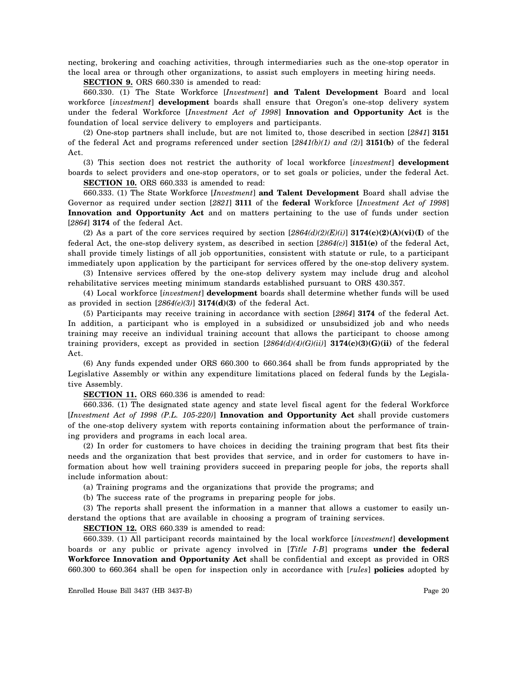necting, brokering and coaching activities, through intermediaries such as the one-stop operator in the local area or through other organizations, to assist such employers in meeting hiring needs.

**SECTION 9.** ORS 660.330 is amended to read:

660.330. (1) The State Workforce [*Investment*] **and Talent Development** Board and local workforce [*investment*] **development** boards shall ensure that Oregon's one-stop delivery system under the federal Workforce [*Investment Act of 1998*] **Innovation and Opportunity Act** is the foundation of local service delivery to employers and participants.

(2) One-stop partners shall include, but are not limited to, those described in section [*2841*] **3151** of the federal Act and programs referenced under section [*2841(b)(1) and (2)*] **3151(b)** of the federal Act.

(3) This section does not restrict the authority of local workforce [*investment*] **development** boards to select providers and one-stop operators, or to set goals or policies, under the federal Act.

**SECTION 10.** ORS 660.333 is amended to read:

660.333. (1) The State Workforce [*Investment*] **and Talent Development** Board shall advise the Governor as required under section [*2821*] **3111** of the **federal** Workforce [*Investment Act of 1998*] **Innovation and Opportunity Act** and on matters pertaining to the use of funds under section [*2864*] **3174** of the federal Act.

(2) As a part of the core services required by section  $[2864(d)(2)(E)(i)]$  **3174(c)(2)(A)(vi)(I)** of the federal Act, the one-stop delivery system, as described in section [*2864(c)*] **3151(e)** of the federal Act, shall provide timely listings of all job opportunities, consistent with statute or rule, to a participant immediately upon application by the participant for services offered by the one-stop delivery system.

(3) Intensive services offered by the one-stop delivery system may include drug and alcohol rehabilitative services meeting minimum standards established pursuant to ORS 430.357.

(4) Local workforce [*investment*] **development** boards shall determine whether funds will be used as provided in section [*2864(e)(3)*] **3174(d)(3)** of the federal Act.

(5) Participants may receive training in accordance with section [*2864*] **3174** of the federal Act. In addition, a participant who is employed in a subsidized or unsubsidized job and who needs training may receive an individual training account that allows the participant to choose among training providers, except as provided in section [*2864(d)(4)(G)(ii)*] **3174(c)(3)(G)(ii)** of the federal Act.

(6) Any funds expended under ORS 660.300 to 660.364 shall be from funds appropriated by the Legislative Assembly or within any expenditure limitations placed on federal funds by the Legislative Assembly.

**SECTION 11.** ORS 660.336 is amended to read:

660.336. (1) The designated state agency and state level fiscal agent for the federal Workforce [*Investment Act of 1998 (P.L. 105-220)*] **Innovation and Opportunity Act** shall provide customers of the one-stop delivery system with reports containing information about the performance of training providers and programs in each local area.

(2) In order for customers to have choices in deciding the training program that best fits their needs and the organization that best provides that service, and in order for customers to have information about how well training providers succeed in preparing people for jobs, the reports shall include information about:

(a) Training programs and the organizations that provide the programs; and

(b) The success rate of the programs in preparing people for jobs.

(3) The reports shall present the information in a manner that allows a customer to easily understand the options that are available in choosing a program of training services.

**SECTION 12.** ORS 660.339 is amended to read:

660.339. (1) All participant records maintained by the local workforce [*investment*] **development** boards or any public or private agency involved in [*Title I-B*] programs **under the federal Workforce Innovation and Opportunity Act** shall be confidential and except as provided in ORS 660.300 to 660.364 shall be open for inspection only in accordance with [*rules*] **policies** adopted by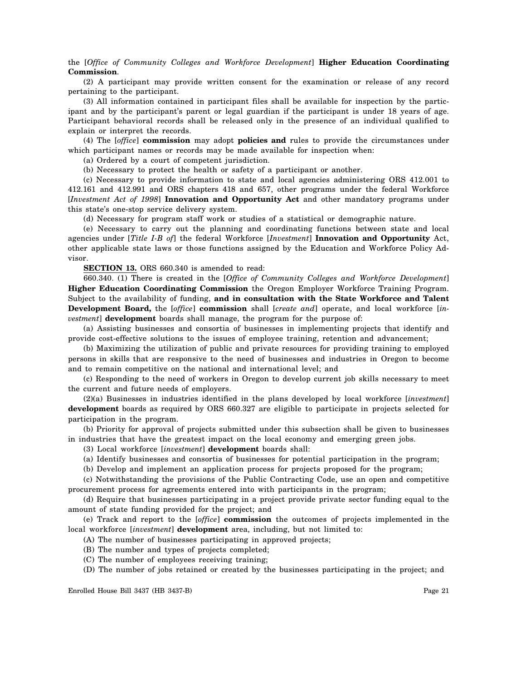### the [*Office of Community Colleges and Workforce Development*] **Higher Education Coordinating Commission**.

(2) A participant may provide written consent for the examination or release of any record pertaining to the participant.

(3) All information contained in participant files shall be available for inspection by the participant and by the participant's parent or legal guardian if the participant is under 18 years of age. Participant behavioral records shall be released only in the presence of an individual qualified to explain or interpret the records.

(4) The [*office*] **commission** may adopt **policies and** rules to provide the circumstances under which participant names or records may be made available for inspection when:

(a) Ordered by a court of competent jurisdiction.

(b) Necessary to protect the health or safety of a participant or another.

(c) Necessary to provide information to state and local agencies administering ORS 412.001 to 412.161 and 412.991 and ORS chapters 418 and 657, other programs under the federal Workforce [*Investment Act of 1998*] **Innovation and Opportunity Act** and other mandatory programs under this state's one-stop service delivery system.

(d) Necessary for program staff work or studies of a statistical or demographic nature.

(e) Necessary to carry out the planning and coordinating functions between state and local agencies under [*Title I-B of*] the federal Workforce [*Investment*] **Innovation and Opportunity** Act, other applicable state laws or those functions assigned by the Education and Workforce Policy Advisor.

**SECTION 13.** ORS 660.340 is amended to read:

660.340. (1) There is created in the [*Office of Community Colleges and Workforce Development*] **Higher Education Coordinating Commission** the Oregon Employer Workforce Training Program. Subject to the availability of funding, **and in consultation with the State Workforce and Talent Development Board,** the [*office*] **commission** shall [*create and*] operate, and local workforce [*investment*] **development** boards shall manage, the program for the purpose of:

(a) Assisting businesses and consortia of businesses in implementing projects that identify and provide cost-effective solutions to the issues of employee training, retention and advancement;

(b) Maximizing the utilization of public and private resources for providing training to employed persons in skills that are responsive to the need of businesses and industries in Oregon to become and to remain competitive on the national and international level; and

(c) Responding to the need of workers in Oregon to develop current job skills necessary to meet the current and future needs of employers.

(2)(a) Businesses in industries identified in the plans developed by local workforce [*investment*] **development** boards as required by ORS 660.327 are eligible to participate in projects selected for participation in the program.

(b) Priority for approval of projects submitted under this subsection shall be given to businesses in industries that have the greatest impact on the local economy and emerging green jobs.

(3) Local workforce [*investment*] **development** boards shall:

(a) Identify businesses and consortia of businesses for potential participation in the program;

(b) Develop and implement an application process for projects proposed for the program;

(c) Notwithstanding the provisions of the Public Contracting Code, use an open and competitive procurement process for agreements entered into with participants in the program;

(d) Require that businesses participating in a project provide private sector funding equal to the amount of state funding provided for the project; and

(e) Track and report to the [*office*] **commission** the outcomes of projects implemented in the local workforce [*investment*] **development** area, including, but not limited to:

(A) The number of businesses participating in approved projects;

- (B) The number and types of projects completed;
- (C) The number of employees receiving training;
- (D) The number of jobs retained or created by the businesses participating in the project; and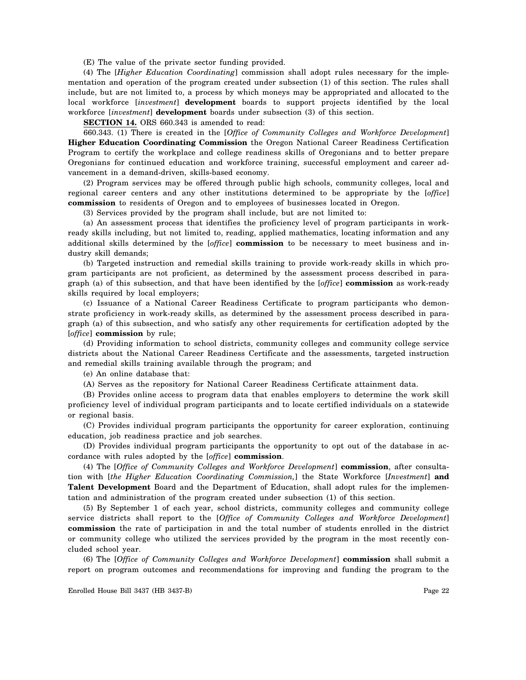(E) The value of the private sector funding provided.

(4) The [*Higher Education Coordinating*] commission shall adopt rules necessary for the implementation and operation of the program created under subsection (1) of this section. The rules shall include, but are not limited to, a process by which moneys may be appropriated and allocated to the local workforce [*investment*] **development** boards to support projects identified by the local workforce [*investment*] **development** boards under subsection (3) of this section.

**SECTION 14.** ORS 660.343 is amended to read:

660.343. (1) There is created in the [*Office of Community Colleges and Workforce Development*] **Higher Education Coordinating Commission** the Oregon National Career Readiness Certification Program to certify the workplace and college readiness skills of Oregonians and to better prepare Oregonians for continued education and workforce training, successful employment and career advancement in a demand-driven, skills-based economy.

(2) Program services may be offered through public high schools, community colleges, local and regional career centers and any other institutions determined to be appropriate by the [*office*] **commission** to residents of Oregon and to employees of businesses located in Oregon.

(3) Services provided by the program shall include, but are not limited to:

(a) An assessment process that identifies the proficiency level of program participants in workready skills including, but not limited to, reading, applied mathematics, locating information and any additional skills determined by the [*office*] **commission** to be necessary to meet business and industry skill demands;

(b) Targeted instruction and remedial skills training to provide work-ready skills in which program participants are not proficient, as determined by the assessment process described in paragraph (a) of this subsection, and that have been identified by the [*office*] **commission** as work-ready skills required by local employers;

(c) Issuance of a National Career Readiness Certificate to program participants who demonstrate proficiency in work-ready skills, as determined by the assessment process described in paragraph (a) of this subsection, and who satisfy any other requirements for certification adopted by the [*office*] **commission** by rule;

(d) Providing information to school districts, community colleges and community college service districts about the National Career Readiness Certificate and the assessments, targeted instruction and remedial skills training available through the program; and

(e) An online database that:

(A) Serves as the repository for National Career Readiness Certificate attainment data.

(B) Provides online access to program data that enables employers to determine the work skill proficiency level of individual program participants and to locate certified individuals on a statewide or regional basis.

(C) Provides individual program participants the opportunity for career exploration, continuing education, job readiness practice and job searches.

(D) Provides individual program participants the opportunity to opt out of the database in accordance with rules adopted by the [*office*] **commission**.

(4) The [*Office of Community Colleges and Workforce Development*] **commission**, after consultation with [*the Higher Education Coordinating Commission,*] the State Workforce [*Investment*] **and Talent Development** Board and the Department of Education, shall adopt rules for the implementation and administration of the program created under subsection (1) of this section.

(5) By September 1 of each year, school districts, community colleges and community college service districts shall report to the [*Office of Community Colleges and Workforce Development*] **commission** the rate of participation in and the total number of students enrolled in the district or community college who utilized the services provided by the program in the most recently concluded school year.

(6) The [*Office of Community Colleges and Workforce Development*] **commission** shall submit a report on program outcomes and recommendations for improving and funding the program to the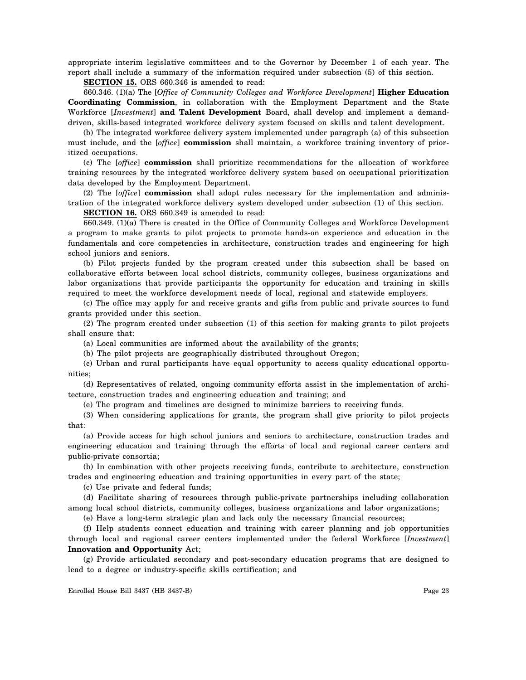appropriate interim legislative committees and to the Governor by December 1 of each year. The report shall include a summary of the information required under subsection (5) of this section.

**SECTION 15.** ORS 660.346 is amended to read:

660.346. (1)(a) The [*Office of Community Colleges and Workforce Development*] **Higher Education Coordinating Commission**, in collaboration with the Employment Department and the State Workforce [*Investment*] **and Talent Development** Board, shall develop and implement a demanddriven, skills-based integrated workforce delivery system focused on skills and talent development.

(b) The integrated workforce delivery system implemented under paragraph (a) of this subsection must include, and the [*office*] **commission** shall maintain, a workforce training inventory of prioritized occupations.

(c) The [*office*] **commission** shall prioritize recommendations for the allocation of workforce training resources by the integrated workforce delivery system based on occupational prioritization data developed by the Employment Department.

(2) The [*office*] **commission** shall adopt rules necessary for the implementation and administration of the integrated workforce delivery system developed under subsection (1) of this section.

**SECTION 16.** ORS 660.349 is amended to read:

660.349. (1)(a) There is created in the Office of Community Colleges and Workforce Development a program to make grants to pilot projects to promote hands-on experience and education in the fundamentals and core competencies in architecture, construction trades and engineering for high school juniors and seniors.

(b) Pilot projects funded by the program created under this subsection shall be based on collaborative efforts between local school districts, community colleges, business organizations and labor organizations that provide participants the opportunity for education and training in skills required to meet the workforce development needs of local, regional and statewide employers.

(c) The office may apply for and receive grants and gifts from public and private sources to fund grants provided under this section.

(2) The program created under subsection (1) of this section for making grants to pilot projects shall ensure that:

(a) Local communities are informed about the availability of the grants;

(b) The pilot projects are geographically distributed throughout Oregon;

(c) Urban and rural participants have equal opportunity to access quality educational opportunities;

(d) Representatives of related, ongoing community efforts assist in the implementation of architecture, construction trades and engineering education and training; and

(e) The program and timelines are designed to minimize barriers to receiving funds.

(3) When considering applications for grants, the program shall give priority to pilot projects that:

(a) Provide access for high school juniors and seniors to architecture, construction trades and engineering education and training through the efforts of local and regional career centers and public-private consortia;

(b) In combination with other projects receiving funds, contribute to architecture, construction trades and engineering education and training opportunities in every part of the state;

(c) Use private and federal funds;

(d) Facilitate sharing of resources through public-private partnerships including collaboration among local school districts, community colleges, business organizations and labor organizations;

(e) Have a long-term strategic plan and lack only the necessary financial resources;

(f) Help students connect education and training with career planning and job opportunities through local and regional career centers implemented under the federal Workforce [*Investment*] **Innovation and Opportunity** Act;

(g) Provide articulated secondary and post-secondary education programs that are designed to lead to a degree or industry-specific skills certification; and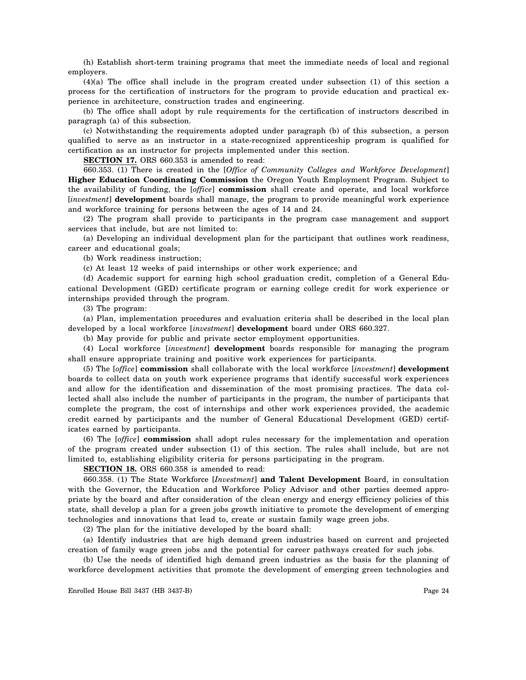(h) Establish short-term training programs that meet the immediate needs of local and regional employers.

(4)(a) The office shall include in the program created under subsection (1) of this section a process for the certification of instructors for the program to provide education and practical experience in architecture, construction trades and engineering.

(b) The office shall adopt by rule requirements for the certification of instructors described in paragraph (a) of this subsection.

(c) Notwithstanding the requirements adopted under paragraph (b) of this subsection, a person qualified to serve as an instructor in a state-recognized apprenticeship program is qualified for certification as an instructor for projects implemented under this section.

**SECTION 17.** ORS 660.353 is amended to read:

660.353. (1) There is created in the [*Office of Community Colleges and Workforce Development*] **Higher Education Coordinating Commission** the Oregon Youth Employment Program. Subject to the availability of funding, the [*office*] **commission** shall create and operate, and local workforce [*investment*] **development** boards shall manage, the program to provide meaningful work experience and workforce training for persons between the ages of 14 and 24.

(2) The program shall provide to participants in the program case management and support services that include, but are not limited to:

(a) Developing an individual development plan for the participant that outlines work readiness, career and educational goals;

(b) Work readiness instruction;

(c) At least 12 weeks of paid internships or other work experience; and

(d) Academic support for earning high school graduation credit, completion of a General Educational Development (GED) certificate program or earning college credit for work experience or internships provided through the program.

(3) The program:

(a) Plan, implementation procedures and evaluation criteria shall be described in the local plan developed by a local workforce [*investment*] **development** board under ORS 660.327.

(b) May provide for public and private sector employment opportunities.

(4) Local workforce [*investment*] **development** boards responsible for managing the program shall ensure appropriate training and positive work experiences for participants.

(5) The [*office*] **commission** shall collaborate with the local workforce [*investment*] **development** boards to collect data on youth work experience programs that identify successful work experiences and allow for the identification and dissemination of the most promising practices. The data collected shall also include the number of participants in the program, the number of participants that complete the program, the cost of internships and other work experiences provided, the academic credit earned by participants and the number of General Educational Development (GED) certificates earned by participants.

(6) The [*office*] **commission** shall adopt rules necessary for the implementation and operation of the program created under subsection (1) of this section. The rules shall include, but are not limited to, establishing eligibility criteria for persons participating in the program.

**SECTION 18.** ORS 660.358 is amended to read:

660.358. (1) The State Workforce [*Investment*] **and Talent Development** Board, in consultation with the Governor, the Education and Workforce Policy Advisor and other parties deemed appropriate by the board and after consideration of the clean energy and energy efficiency policies of this state, shall develop a plan for a green jobs growth initiative to promote the development of emerging technologies and innovations that lead to, create or sustain family wage green jobs.

(2) The plan for the initiative developed by the board shall:

(a) Identify industries that are high demand green industries based on current and projected creation of family wage green jobs and the potential for career pathways created for such jobs.

(b) Use the needs of identified high demand green industries as the basis for the planning of workforce development activities that promote the development of emerging green technologies and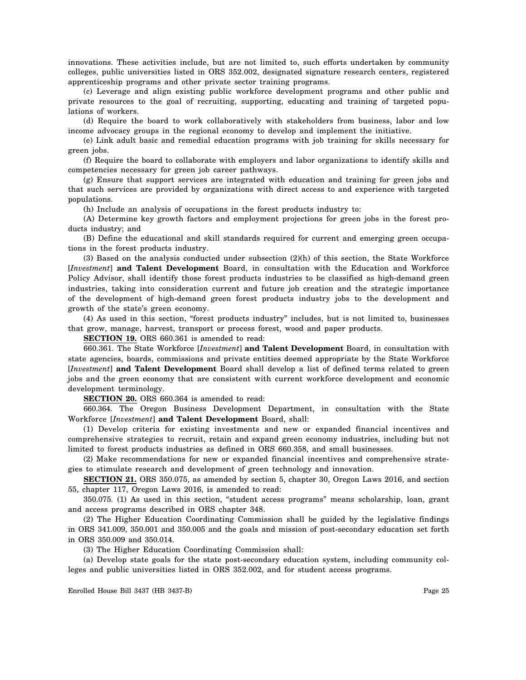innovations. These activities include, but are not limited to, such efforts undertaken by community colleges, public universities listed in ORS 352.002, designated signature research centers, registered apprenticeship programs and other private sector training programs.

(c) Leverage and align existing public workforce development programs and other public and private resources to the goal of recruiting, supporting, educating and training of targeted populations of workers.

(d) Require the board to work collaboratively with stakeholders from business, labor and low income advocacy groups in the regional economy to develop and implement the initiative.

(e) Link adult basic and remedial education programs with job training for skills necessary for green jobs.

(f) Require the board to collaborate with employers and labor organizations to identify skills and competencies necessary for green job career pathways.

(g) Ensure that support services are integrated with education and training for green jobs and that such services are provided by organizations with direct access to and experience with targeted populations.

(h) Include an analysis of occupations in the forest products industry to:

(A) Determine key growth factors and employment projections for green jobs in the forest products industry; and

(B) Define the educational and skill standards required for current and emerging green occupations in the forest products industry.

(3) Based on the analysis conducted under subsection (2)(h) of this section, the State Workforce [*Investment*] **and Talent Development** Board, in consultation with the Education and Workforce Policy Advisor, shall identify those forest products industries to be classified as high-demand green industries, taking into consideration current and future job creation and the strategic importance of the development of high-demand green forest products industry jobs to the development and growth of the state's green economy.

(4) As used in this section, "forest products industry" includes, but is not limited to, businesses that grow, manage, harvest, transport or process forest, wood and paper products.

**SECTION 19.** ORS 660.361 is amended to read:

660.361. The State Workforce [*Investment*] **and Talent Development** Board, in consultation with state agencies, boards, commissions and private entities deemed appropriate by the State Workforce [*Investment*] **and Talent Development** Board shall develop a list of defined terms related to green jobs and the green economy that are consistent with current workforce development and economic development terminology.

**SECTION 20.** ORS 660.364 is amended to read:

660.364. The Oregon Business Development Department, in consultation with the State Workforce [*Investment*] **and Talent Development** Board, shall:

(1) Develop criteria for existing investments and new or expanded financial incentives and comprehensive strategies to recruit, retain and expand green economy industries, including but not limited to forest products industries as defined in ORS 660.358, and small businesses.

(2) Make recommendations for new or expanded financial incentives and comprehensive strategies to stimulate research and development of green technology and innovation.

**SECTION 21.** ORS 350.075, as amended by section 5, chapter 30, Oregon Laws 2016, and section 55, chapter 117, Oregon Laws 2016, is amended to read:

350.075. (1) As used in this section, "student access programs" means scholarship, loan, grant and access programs described in ORS chapter 348.

(2) The Higher Education Coordinating Commission shall be guided by the legislative findings in ORS 341.009, 350.001 and 350.005 and the goals and mission of post-secondary education set forth in ORS 350.009 and 350.014.

(3) The Higher Education Coordinating Commission shall:

(a) Develop state goals for the state post-secondary education system, including community colleges and public universities listed in ORS 352.002, and for student access programs.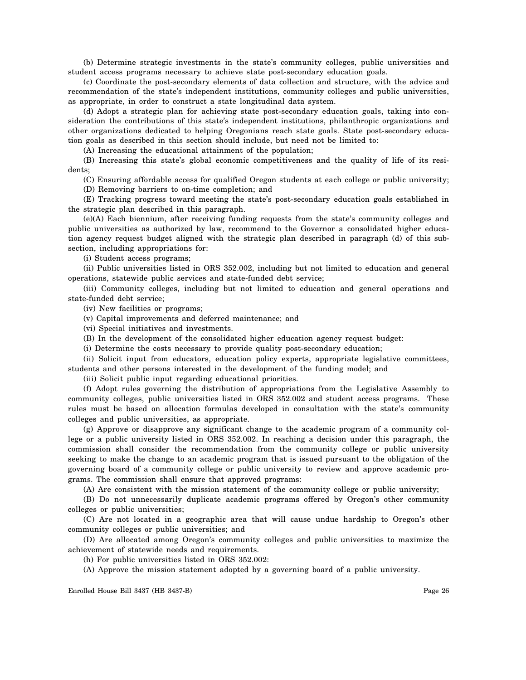(b) Determine strategic investments in the state's community colleges, public universities and student access programs necessary to achieve state post-secondary education goals.

(c) Coordinate the post-secondary elements of data collection and structure, with the advice and recommendation of the state's independent institutions, community colleges and public universities, as appropriate, in order to construct a state longitudinal data system.

(d) Adopt a strategic plan for achieving state post-secondary education goals, taking into consideration the contributions of this state's independent institutions, philanthropic organizations and other organizations dedicated to helping Oregonians reach state goals. State post-secondary education goals as described in this section should include, but need not be limited to:

(A) Increasing the educational attainment of the population;

(B) Increasing this state's global economic competitiveness and the quality of life of its residents;

(C) Ensuring affordable access for qualified Oregon students at each college or public university;

(D) Removing barriers to on-time completion; and

(E) Tracking progress toward meeting the state's post-secondary education goals established in the strategic plan described in this paragraph.

(e)(A) Each biennium, after receiving funding requests from the state's community colleges and public universities as authorized by law, recommend to the Governor a consolidated higher education agency request budget aligned with the strategic plan described in paragraph (d) of this subsection, including appropriations for:

(i) Student access programs;

(ii) Public universities listed in ORS 352.002, including but not limited to education and general operations, statewide public services and state-funded debt service;

(iii) Community colleges, including but not limited to education and general operations and state-funded debt service;

(iv) New facilities or programs;

(v) Capital improvements and deferred maintenance; and

(vi) Special initiatives and investments.

(B) In the development of the consolidated higher education agency request budget:

(i) Determine the costs necessary to provide quality post-secondary education;

(ii) Solicit input from educators, education policy experts, appropriate legislative committees, students and other persons interested in the development of the funding model; and

(iii) Solicit public input regarding educational priorities.

(f) Adopt rules governing the distribution of appropriations from the Legislative Assembly to community colleges, public universities listed in ORS 352.002 and student access programs. These rules must be based on allocation formulas developed in consultation with the state's community colleges and public universities, as appropriate.

(g) Approve or disapprove any significant change to the academic program of a community college or a public university listed in ORS 352.002. In reaching a decision under this paragraph, the commission shall consider the recommendation from the community college or public university seeking to make the change to an academic program that is issued pursuant to the obligation of the governing board of a community college or public university to review and approve academic programs. The commission shall ensure that approved programs:

(A) Are consistent with the mission statement of the community college or public university;

(B) Do not unnecessarily duplicate academic programs offered by Oregon's other community colleges or public universities;

(C) Are not located in a geographic area that will cause undue hardship to Oregon's other community colleges or public universities; and

(D) Are allocated among Oregon's community colleges and public universities to maximize the achievement of statewide needs and requirements.

(h) For public universities listed in ORS 352.002:

(A) Approve the mission statement adopted by a governing board of a public university.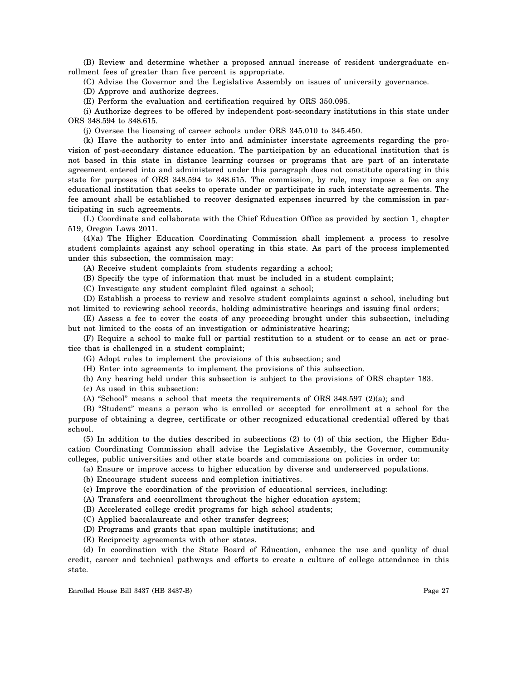(B) Review and determine whether a proposed annual increase of resident undergraduate enrollment fees of greater than five percent is appropriate.

(C) Advise the Governor and the Legislative Assembly on issues of university governance.

(D) Approve and authorize degrees.

(E) Perform the evaluation and certification required by ORS 350.095.

(i) Authorize degrees to be offered by independent post-secondary institutions in this state under ORS 348.594 to 348.615.

(j) Oversee the licensing of career schools under ORS 345.010 to 345.450.

(k) Have the authority to enter into and administer interstate agreements regarding the provision of post-secondary distance education. The participation by an educational institution that is not based in this state in distance learning courses or programs that are part of an interstate agreement entered into and administered under this paragraph does not constitute operating in this state for purposes of ORS 348.594 to 348.615. The commission, by rule, may impose a fee on any educational institution that seeks to operate under or participate in such interstate agreements. The fee amount shall be established to recover designated expenses incurred by the commission in participating in such agreements.

(L) Coordinate and collaborate with the Chief Education Office as provided by section 1, chapter 519, Oregon Laws 2011.

(4)(a) The Higher Education Coordinating Commission shall implement a process to resolve student complaints against any school operating in this state. As part of the process implemented under this subsection, the commission may:

(A) Receive student complaints from students regarding a school;

(B) Specify the type of information that must be included in a student complaint;

(C) Investigate any student complaint filed against a school;

(D) Establish a process to review and resolve student complaints against a school, including but not limited to reviewing school records, holding administrative hearings and issuing final orders;

(E) Assess a fee to cover the costs of any proceeding brought under this subsection, including but not limited to the costs of an investigation or administrative hearing;

(F) Require a school to make full or partial restitution to a student or to cease an act or practice that is challenged in a student complaint;

(G) Adopt rules to implement the provisions of this subsection; and

(H) Enter into agreements to implement the provisions of this subsection.

(b) Any hearing held under this subsection is subject to the provisions of ORS chapter 183.

(c) As used in this subsection:

(A) "School" means a school that meets the requirements of ORS 348.597 (2)(a); and

(B) "Student" means a person who is enrolled or accepted for enrollment at a school for the purpose of obtaining a degree, certificate or other recognized educational credential offered by that school.

(5) In addition to the duties described in subsections (2) to (4) of this section, the Higher Education Coordinating Commission shall advise the Legislative Assembly, the Governor, community colleges, public universities and other state boards and commissions on policies in order to:

(a) Ensure or improve access to higher education by diverse and underserved populations.

(b) Encourage student success and completion initiatives.

(c) Improve the coordination of the provision of educational services, including:

(A) Transfers and coenrollment throughout the higher education system;

(B) Accelerated college credit programs for high school students;

(C) Applied baccalaureate and other transfer degrees;

(D) Programs and grants that span multiple institutions; and

(E) Reciprocity agreements with other states.

(d) In coordination with the State Board of Education, enhance the use and quality of dual credit, career and technical pathways and efforts to create a culture of college attendance in this state.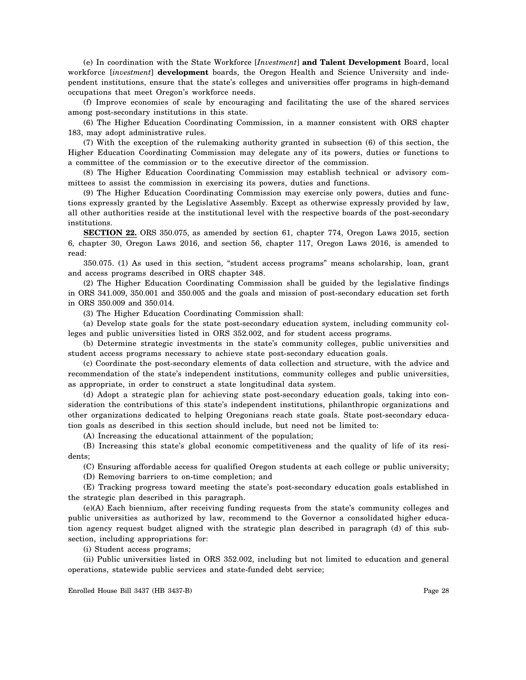(e) In coordination with the State Workforce [*Investment*] **and Talent Development** Board, local workforce [*investment*] **development** boards, the Oregon Health and Science University and independent institutions, ensure that the state's colleges and universities offer programs in high-demand occupations that meet Oregon's workforce needs.

(f) Improve economies of scale by encouraging and facilitating the use of the shared services among post-secondary institutions in this state.

(6) The Higher Education Coordinating Commission, in a manner consistent with ORS chapter 183, may adopt administrative rules.

(7) With the exception of the rulemaking authority granted in subsection (6) of this section, the Higher Education Coordinating Commission may delegate any of its powers, duties or functions to a committee of the commission or to the executive director of the commission.

(8) The Higher Education Coordinating Commission may establish technical or advisory committees to assist the commission in exercising its powers, duties and functions.

(9) The Higher Education Coordinating Commission may exercise only powers, duties and functions expressly granted by the Legislative Assembly. Except as otherwise expressly provided by law, all other authorities reside at the institutional level with the respective boards of the post-secondary institutions.

**SECTION 22.** ORS 350.075, as amended by section 61, chapter 774, Oregon Laws 2015, section 6, chapter 30, Oregon Laws 2016, and section 56, chapter 117, Oregon Laws 2016, is amended to read:

350.075. (1) As used in this section, "student access programs" means scholarship, loan, grant and access programs described in ORS chapter 348.

(2) The Higher Education Coordinating Commission shall be guided by the legislative findings in ORS 341.009, 350.001 and 350.005 and the goals and mission of post-secondary education set forth in ORS 350.009 and 350.014.

(3) The Higher Education Coordinating Commission shall:

(a) Develop state goals for the state post-secondary education system, including community colleges and public universities listed in ORS 352.002, and for student access programs.

(b) Determine strategic investments in the state's community colleges, public universities and student access programs necessary to achieve state post-secondary education goals.

(c) Coordinate the post-secondary elements of data collection and structure, with the advice and recommendation of the state's independent institutions, community colleges and public universities, as appropriate, in order to construct a state longitudinal data system.

(d) Adopt a strategic plan for achieving state post-secondary education goals, taking into consideration the contributions of this state's independent institutions, philanthropic organizations and other organizations dedicated to helping Oregonians reach state goals. State post-secondary education goals as described in this section should include, but need not be limited to:

(A) Increasing the educational attainment of the population;

(B) Increasing this state's global economic competitiveness and the quality of life of its residents;

(C) Ensuring affordable access for qualified Oregon students at each college or public university;

(D) Removing barriers to on-time completion; and

(E) Tracking progress toward meeting the state's post-secondary education goals established in the strategic plan described in this paragraph.

(e)(A) Each biennium, after receiving funding requests from the state's community colleges and public universities as authorized by law, recommend to the Governor a consolidated higher education agency request budget aligned with the strategic plan described in paragraph (d) of this subsection, including appropriations for:

(i) Student access programs;

(ii) Public universities listed in ORS 352.002, including but not limited to education and general operations, statewide public services and state-funded debt service;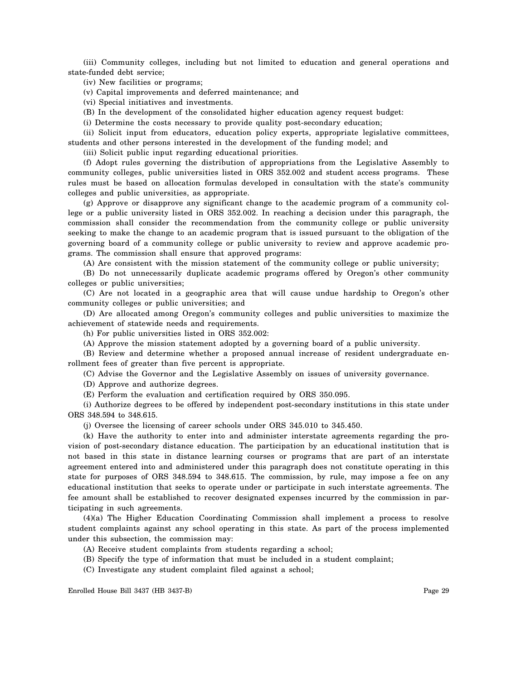(iii) Community colleges, including but not limited to education and general operations and state-funded debt service;

(iv) New facilities or programs;

(v) Capital improvements and deferred maintenance; and

(vi) Special initiatives and investments.

(B) In the development of the consolidated higher education agency request budget:

(i) Determine the costs necessary to provide quality post-secondary education;

(ii) Solicit input from educators, education policy experts, appropriate legislative committees, students and other persons interested in the development of the funding model; and

(iii) Solicit public input regarding educational priorities.

(f) Adopt rules governing the distribution of appropriations from the Legislative Assembly to community colleges, public universities listed in ORS 352.002 and student access programs. These rules must be based on allocation formulas developed in consultation with the state's community colleges and public universities, as appropriate.

(g) Approve or disapprove any significant change to the academic program of a community college or a public university listed in ORS 352.002. In reaching a decision under this paragraph, the commission shall consider the recommendation from the community college or public university seeking to make the change to an academic program that is issued pursuant to the obligation of the governing board of a community college or public university to review and approve academic programs. The commission shall ensure that approved programs:

(A) Are consistent with the mission statement of the community college or public university;

(B) Do not unnecessarily duplicate academic programs offered by Oregon's other community colleges or public universities;

(C) Are not located in a geographic area that will cause undue hardship to Oregon's other community colleges or public universities; and

(D) Are allocated among Oregon's community colleges and public universities to maximize the achievement of statewide needs and requirements.

(h) For public universities listed in ORS 352.002:

(A) Approve the mission statement adopted by a governing board of a public university.

(B) Review and determine whether a proposed annual increase of resident undergraduate enrollment fees of greater than five percent is appropriate.

(C) Advise the Governor and the Legislative Assembly on issues of university governance.

(D) Approve and authorize degrees.

(E) Perform the evaluation and certification required by ORS 350.095.

(i) Authorize degrees to be offered by independent post-secondary institutions in this state under ORS 348.594 to 348.615.

(j) Oversee the licensing of career schools under ORS 345.010 to 345.450.

(k) Have the authority to enter into and administer interstate agreements regarding the provision of post-secondary distance education. The participation by an educational institution that is not based in this state in distance learning courses or programs that are part of an interstate agreement entered into and administered under this paragraph does not constitute operating in this state for purposes of ORS 348.594 to 348.615. The commission, by rule, may impose a fee on any educational institution that seeks to operate under or participate in such interstate agreements. The fee amount shall be established to recover designated expenses incurred by the commission in participating in such agreements.

(4)(a) The Higher Education Coordinating Commission shall implement a process to resolve student complaints against any school operating in this state. As part of the process implemented under this subsection, the commission may:

(A) Receive student complaints from students regarding a school;

(B) Specify the type of information that must be included in a student complaint;

(C) Investigate any student complaint filed against a school;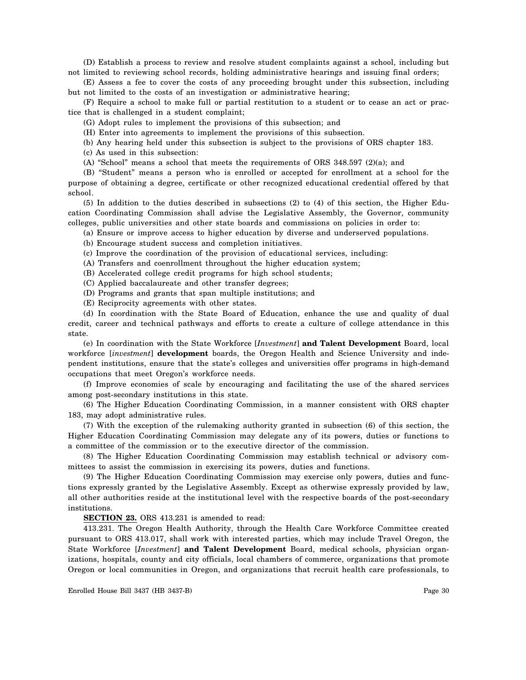(D) Establish a process to review and resolve student complaints against a school, including but not limited to reviewing school records, holding administrative hearings and issuing final orders;

(E) Assess a fee to cover the costs of any proceeding brought under this subsection, including but not limited to the costs of an investigation or administrative hearing;

(F) Require a school to make full or partial restitution to a student or to cease an act or practice that is challenged in a student complaint;

(G) Adopt rules to implement the provisions of this subsection; and

(H) Enter into agreements to implement the provisions of this subsection.

(b) Any hearing held under this subsection is subject to the provisions of ORS chapter 183.

(c) As used in this subsection:

(A) "School" means a school that meets the requirements of ORS 348.597 (2)(a); and

(B) "Student" means a person who is enrolled or accepted for enrollment at a school for the purpose of obtaining a degree, certificate or other recognized educational credential offered by that school.

(5) In addition to the duties described in subsections (2) to (4) of this section, the Higher Education Coordinating Commission shall advise the Legislative Assembly, the Governor, community colleges, public universities and other state boards and commissions on policies in order to:

(a) Ensure or improve access to higher education by diverse and underserved populations.

(b) Encourage student success and completion initiatives.

(c) Improve the coordination of the provision of educational services, including:

(A) Transfers and coenrollment throughout the higher education system;

(B) Accelerated college credit programs for high school students;

(C) Applied baccalaureate and other transfer degrees;

(D) Programs and grants that span multiple institutions; and

(E) Reciprocity agreements with other states.

(d) In coordination with the State Board of Education, enhance the use and quality of dual credit, career and technical pathways and efforts to create a culture of college attendance in this state.

(e) In coordination with the State Workforce [*Investment*] **and Talent Development** Board, local workforce [*investment*] **development** boards, the Oregon Health and Science University and independent institutions, ensure that the state's colleges and universities offer programs in high-demand occupations that meet Oregon's workforce needs.

(f) Improve economies of scale by encouraging and facilitating the use of the shared services among post-secondary institutions in this state.

(6) The Higher Education Coordinating Commission, in a manner consistent with ORS chapter 183, may adopt administrative rules.

(7) With the exception of the rulemaking authority granted in subsection (6) of this section, the Higher Education Coordinating Commission may delegate any of its powers, duties or functions to a committee of the commission or to the executive director of the commission.

(8) The Higher Education Coordinating Commission may establish technical or advisory committees to assist the commission in exercising its powers, duties and functions.

(9) The Higher Education Coordinating Commission may exercise only powers, duties and functions expressly granted by the Legislative Assembly. Except as otherwise expressly provided by law, all other authorities reside at the institutional level with the respective boards of the post-secondary institutions.

**SECTION 23.** ORS 413.231 is amended to read:

413.231. The Oregon Health Authority, through the Health Care Workforce Committee created pursuant to ORS 413.017, shall work with interested parties, which may include Travel Oregon, the State Workforce [*Investment*] **and Talent Development** Board, medical schools, physician organizations, hospitals, county and city officials, local chambers of commerce, organizations that promote Oregon or local communities in Oregon, and organizations that recruit health care professionals, to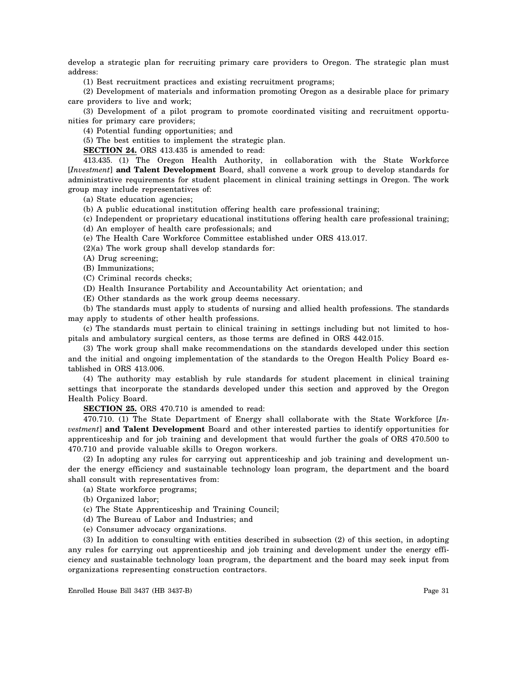develop a strategic plan for recruiting primary care providers to Oregon. The strategic plan must address:

(1) Best recruitment practices and existing recruitment programs;

(2) Development of materials and information promoting Oregon as a desirable place for primary care providers to live and work;

(3) Development of a pilot program to promote coordinated visiting and recruitment opportunities for primary care providers;

(4) Potential funding opportunities; and

(5) The best entities to implement the strategic plan.

**SECTION 24.** ORS 413.435 is amended to read:

413.435. (1) The Oregon Health Authority, in collaboration with the State Workforce [*Investment*] **and Talent Development** Board, shall convene a work group to develop standards for administrative requirements for student placement in clinical training settings in Oregon. The work group may include representatives of:

(a) State education agencies;

(b) A public educational institution offering health care professional training;

(c) Independent or proprietary educational institutions offering health care professional training; (d) An employer of health care professionals; and

(e) The Health Care Workforce Committee established under ORS 413.017.

(2)(a) The work group shall develop standards for:

(A) Drug screening;

(B) Immunizations;

(C) Criminal records checks;

(D) Health Insurance Portability and Accountability Act orientation; and

(E) Other standards as the work group deems necessary.

(b) The standards must apply to students of nursing and allied health professions. The standards may apply to students of other health professions.

(c) The standards must pertain to clinical training in settings including but not limited to hospitals and ambulatory surgical centers, as those terms are defined in ORS 442.015.

(3) The work group shall make recommendations on the standards developed under this section and the initial and ongoing implementation of the standards to the Oregon Health Policy Board established in ORS 413.006.

(4) The authority may establish by rule standards for student placement in clinical training settings that incorporate the standards developed under this section and approved by the Oregon Health Policy Board.

**SECTION 25.** ORS 470.710 is amended to read:

470.710. (1) The State Department of Energy shall collaborate with the State Workforce [*Investment*] **and Talent Development** Board and other interested parties to identify opportunities for apprenticeship and for job training and development that would further the goals of ORS 470.500 to 470.710 and provide valuable skills to Oregon workers.

(2) In adopting any rules for carrying out apprenticeship and job training and development under the energy efficiency and sustainable technology loan program, the department and the board shall consult with representatives from:

(a) State workforce programs;

(b) Organized labor;

(c) The State Apprenticeship and Training Council;

(d) The Bureau of Labor and Industries; and

(e) Consumer advocacy organizations.

(3) In addition to consulting with entities described in subsection (2) of this section, in adopting any rules for carrying out apprenticeship and job training and development under the energy efficiency and sustainable technology loan program, the department and the board may seek input from organizations representing construction contractors.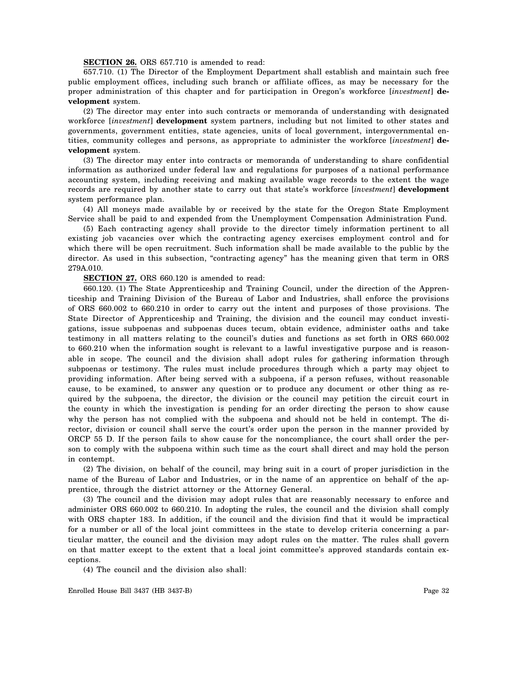#### **SECTION 26.** ORS 657.710 is amended to read:

657.710. (1) The Director of the Employment Department shall establish and maintain such free public employment offices, including such branch or affiliate offices, as may be necessary for the proper administration of this chapter and for participation in Oregon's workforce [*investment*] **development** system.

(2) The director may enter into such contracts or memoranda of understanding with designated workforce [*investment*] **development** system partners, including but not limited to other states and governments, government entities, state agencies, units of local government, intergovernmental entities, community colleges and persons, as appropriate to administer the workforce [*investment*] **development** system.

(3) The director may enter into contracts or memoranda of understanding to share confidential information as authorized under federal law and regulations for purposes of a national performance accounting system, including receiving and making available wage records to the extent the wage records are required by another state to carry out that state's workforce [*investment*] **development** system performance plan.

(4) All moneys made available by or received by the state for the Oregon State Employment Service shall be paid to and expended from the Unemployment Compensation Administration Fund.

(5) Each contracting agency shall provide to the director timely information pertinent to all existing job vacancies over which the contracting agency exercises employment control and for which there will be open recruitment. Such information shall be made available to the public by the director. As used in this subsection, "contracting agency" has the meaning given that term in ORS 279A.010.

**SECTION 27.** ORS 660.120 is amended to read:

660.120. (1) The State Apprenticeship and Training Council, under the direction of the Apprenticeship and Training Division of the Bureau of Labor and Industries, shall enforce the provisions of ORS 660.002 to 660.210 in order to carry out the intent and purposes of those provisions. The State Director of Apprenticeship and Training, the division and the council may conduct investigations, issue subpoenas and subpoenas duces tecum, obtain evidence, administer oaths and take testimony in all matters relating to the council's duties and functions as set forth in ORS 660.002 to 660.210 when the information sought is relevant to a lawful investigative purpose and is reasonable in scope. The council and the division shall adopt rules for gathering information through subpoenas or testimony. The rules must include procedures through which a party may object to providing information. After being served with a subpoena, if a person refuses, without reasonable cause, to be examined, to answer any question or to produce any document or other thing as required by the subpoena, the director, the division or the council may petition the circuit court in the county in which the investigation is pending for an order directing the person to show cause why the person has not complied with the subpoena and should not be held in contempt. The director, division or council shall serve the court's order upon the person in the manner provided by ORCP 55 D. If the person fails to show cause for the noncompliance, the court shall order the person to comply with the subpoena within such time as the court shall direct and may hold the person in contempt.

(2) The division, on behalf of the council, may bring suit in a court of proper jurisdiction in the name of the Bureau of Labor and Industries, or in the name of an apprentice on behalf of the apprentice, through the district attorney or the Attorney General.

(3) The council and the division may adopt rules that are reasonably necessary to enforce and administer ORS 660.002 to 660.210. In adopting the rules, the council and the division shall comply with ORS chapter 183. In addition, if the council and the division find that it would be impractical for a number or all of the local joint committees in the state to develop criteria concerning a particular matter, the council and the division may adopt rules on the matter. The rules shall govern on that matter except to the extent that a local joint committee's approved standards contain exceptions.

(4) The council and the division also shall: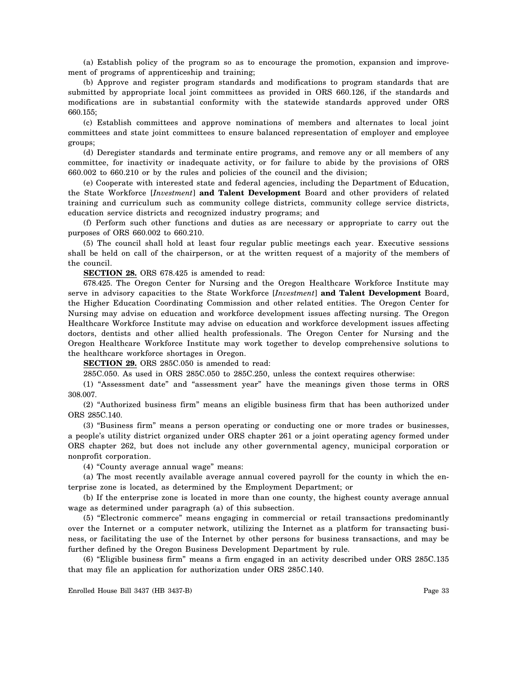(a) Establish policy of the program so as to encourage the promotion, expansion and improvement of programs of apprenticeship and training;

(b) Approve and register program standards and modifications to program standards that are submitted by appropriate local joint committees as provided in ORS 660.126, if the standards and modifications are in substantial conformity with the statewide standards approved under ORS 660.155;

(c) Establish committees and approve nominations of members and alternates to local joint committees and state joint committees to ensure balanced representation of employer and employee groups;

(d) Deregister standards and terminate entire programs, and remove any or all members of any committee, for inactivity or inadequate activity, or for failure to abide by the provisions of ORS 660.002 to 660.210 or by the rules and policies of the council and the division;

(e) Cooperate with interested state and federal agencies, including the Department of Education, the State Workforce [*Investment*] **and Talent Development** Board and other providers of related training and curriculum such as community college districts, community college service districts, education service districts and recognized industry programs; and

(f) Perform such other functions and duties as are necessary or appropriate to carry out the purposes of ORS 660.002 to 660.210.

(5) The council shall hold at least four regular public meetings each year. Executive sessions shall be held on call of the chairperson, or at the written request of a majority of the members of the council.

**SECTION 28.** ORS 678.425 is amended to read:

678.425. The Oregon Center for Nursing and the Oregon Healthcare Workforce Institute may serve in advisory capacities to the State Workforce [*Investment*] **and Talent Development** Board, the Higher Education Coordinating Commission and other related entities. The Oregon Center for Nursing may advise on education and workforce development issues affecting nursing. The Oregon Healthcare Workforce Institute may advise on education and workforce development issues affecting doctors, dentists and other allied health professionals. The Oregon Center for Nursing and the Oregon Healthcare Workforce Institute may work together to develop comprehensive solutions to the healthcare workforce shortages in Oregon.

**SECTION 29.** ORS 285C.050 is amended to read:

285C.050. As used in ORS 285C.050 to 285C.250, unless the context requires otherwise:

(1) "Assessment date" and "assessment year" have the meanings given those terms in ORS 308.007.

(2) "Authorized business firm" means an eligible business firm that has been authorized under ORS 285C.140.

(3) "Business firm" means a person operating or conducting one or more trades or businesses, a people's utility district organized under ORS chapter 261 or a joint operating agency formed under ORS chapter 262, but does not include any other governmental agency, municipal corporation or nonprofit corporation.

(4) "County average annual wage" means:

(a) The most recently available average annual covered payroll for the county in which the enterprise zone is located, as determined by the Employment Department; or

(b) If the enterprise zone is located in more than one county, the highest county average annual wage as determined under paragraph (a) of this subsection.

(5) "Electronic commerce" means engaging in commercial or retail transactions predominantly over the Internet or a computer network, utilizing the Internet as a platform for transacting business, or facilitating the use of the Internet by other persons for business transactions, and may be further defined by the Oregon Business Development Department by rule.

(6) "Eligible business firm" means a firm engaged in an activity described under ORS 285C.135 that may file an application for authorization under ORS 285C.140.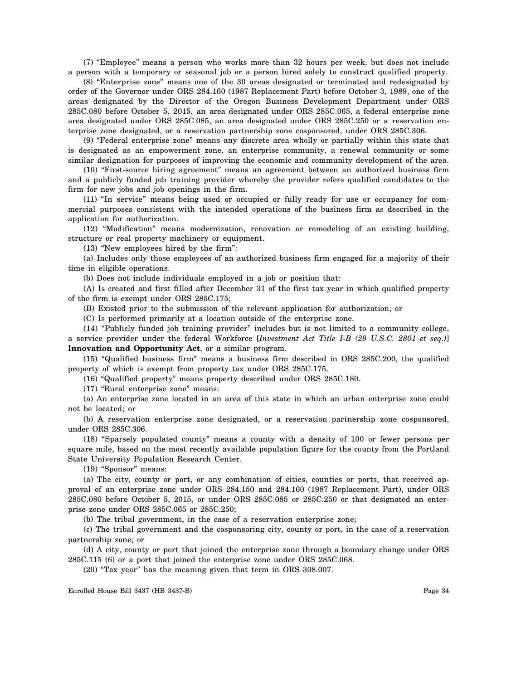(7) "Employee" means a person who works more than 32 hours per week, but does not include a person with a temporary or seasonal job or a person hired solely to construct qualified property.

(8) "Enterprise zone" means one of the 30 areas designated or terminated and redesignated by order of the Governor under ORS 284.160 (1987 Replacement Part) before October 3, 1989, one of the areas designated by the Director of the Oregon Business Development Department under ORS 285C.080 before October 5, 2015, an area designated under ORS 285C.065, a federal enterprise zone area designated under ORS 285C.085, an area designated under ORS 285C.250 or a reservation enterprise zone designated, or a reservation partnership zone cosponsored, under ORS 285C.306.

(9) "Federal enterprise zone" means any discrete area wholly or partially within this state that is designated as an empowerment zone, an enterprise community, a renewal community or some similar designation for purposes of improving the economic and community development of the area.

(10) "First-source hiring agreement" means an agreement between an authorized business firm and a publicly funded job training provider whereby the provider refers qualified candidates to the firm for new jobs and job openings in the firm.

(11) "In service" means being used or occupied or fully ready for use or occupancy for commercial purposes consistent with the intended operations of the business firm as described in the application for authorization.

(12) "Modification" means modernization, renovation or remodeling of an existing building, structure or real property machinery or equipment.

(13) "New employees hired by the firm":

(a) Includes only those employees of an authorized business firm engaged for a majority of their time in eligible operations.

(b) Does not include individuals employed in a job or position that:

(A) Is created and first filled after December 31 of the first tax year in which qualified property of the firm is exempt under ORS 285C.175;

(B) Existed prior to the submission of the relevant application for authorization; or

(C) Is performed primarily at a location outside of the enterprise zone.

(14) "Publicly funded job training provider" includes but is not limited to a community college, a service provider under the federal Workforce [*Investment Act Title I-B (29 U.S.C. 2801 et seq.)*] **Innovation and Opportunity Act**, or a similar program.

(15) "Qualified business firm" means a business firm described in ORS 285C.200, the qualified property of which is exempt from property tax under ORS 285C.175.

(16) "Qualified property" means property described under ORS 285C.180.

(17) "Rural enterprise zone" means:

(a) An enterprise zone located in an area of this state in which an urban enterprise zone could not be located; or

(b) A reservation enterprise zone designated, or a reservation partnership zone cosponsored, under ORS 285C.306.

(18) "Sparsely populated county" means a county with a density of 100 or fewer persons per square mile, based on the most recently available population figure for the county from the Portland State University Population Research Center.

(19) "Sponsor" means:

(a) The city, county or port, or any combination of cities, counties or ports, that received approval of an enterprise zone under ORS 284.150 and 284.160 (1987 Replacement Part), under ORS 285C.080 before October 5, 2015, or under ORS 285C.085 or 285C.250 or that designated an enterprise zone under ORS 285C.065 or 285C.250;

(b) The tribal government, in the case of a reservation enterprise zone;

(c) The tribal government and the cosponsoring city, county or port, in the case of a reservation partnership zone; or

(d) A city, county or port that joined the enterprise zone through a boundary change under ORS 285C.115 (6) or a port that joined the enterprise zone under ORS 285C.068.

(20) "Tax year" has the meaning given that term in ORS 308.007.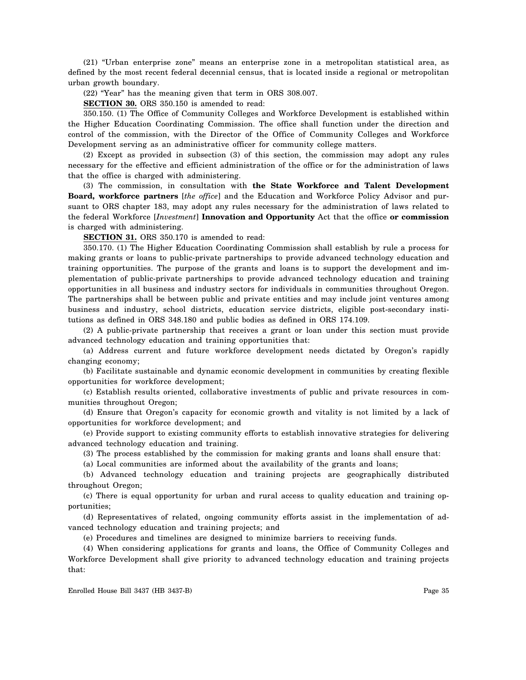(21) "Urban enterprise zone" means an enterprise zone in a metropolitan statistical area, as defined by the most recent federal decennial census, that is located inside a regional or metropolitan urban growth boundary.

(22) "Year" has the meaning given that term in ORS 308.007.

**SECTION 30.** ORS 350.150 is amended to read:

350.150. (1) The Office of Community Colleges and Workforce Development is established within the Higher Education Coordinating Commission. The office shall function under the direction and control of the commission, with the Director of the Office of Community Colleges and Workforce Development serving as an administrative officer for community college matters.

(2) Except as provided in subsection (3) of this section, the commission may adopt any rules necessary for the effective and efficient administration of the office or for the administration of laws that the office is charged with administering.

(3) The commission, in consultation with **the State Workforce and Talent Development Board, workforce partners** [*the office*] and the Education and Workforce Policy Advisor and pursuant to ORS chapter 183, may adopt any rules necessary for the administration of laws related to the federal Workforce [*Investment*] **Innovation and Opportunity** Act that the office **or commission** is charged with administering.

**SECTION 31.** ORS 350.170 is amended to read:

350.170. (1) The Higher Education Coordinating Commission shall establish by rule a process for making grants or loans to public-private partnerships to provide advanced technology education and training opportunities. The purpose of the grants and loans is to support the development and implementation of public-private partnerships to provide advanced technology education and training opportunities in all business and industry sectors for individuals in communities throughout Oregon. The partnerships shall be between public and private entities and may include joint ventures among business and industry, school districts, education service districts, eligible post-secondary institutions as defined in ORS 348.180 and public bodies as defined in ORS 174.109.

(2) A public-private partnership that receives a grant or loan under this section must provide advanced technology education and training opportunities that:

(a) Address current and future workforce development needs dictated by Oregon's rapidly changing economy;

(b) Facilitate sustainable and dynamic economic development in communities by creating flexible opportunities for workforce development;

(c) Establish results oriented, collaborative investments of public and private resources in communities throughout Oregon;

(d) Ensure that Oregon's capacity for economic growth and vitality is not limited by a lack of opportunities for workforce development; and

(e) Provide support to existing community efforts to establish innovative strategies for delivering advanced technology education and training.

(3) The process established by the commission for making grants and loans shall ensure that:

(a) Local communities are informed about the availability of the grants and loans;

(b) Advanced technology education and training projects are geographically distributed throughout Oregon;

(c) There is equal opportunity for urban and rural access to quality education and training opportunities;

(d) Representatives of related, ongoing community efforts assist in the implementation of advanced technology education and training projects; and

(e) Procedures and timelines are designed to minimize barriers to receiving funds.

(4) When considering applications for grants and loans, the Office of Community Colleges and Workforce Development shall give priority to advanced technology education and training projects that: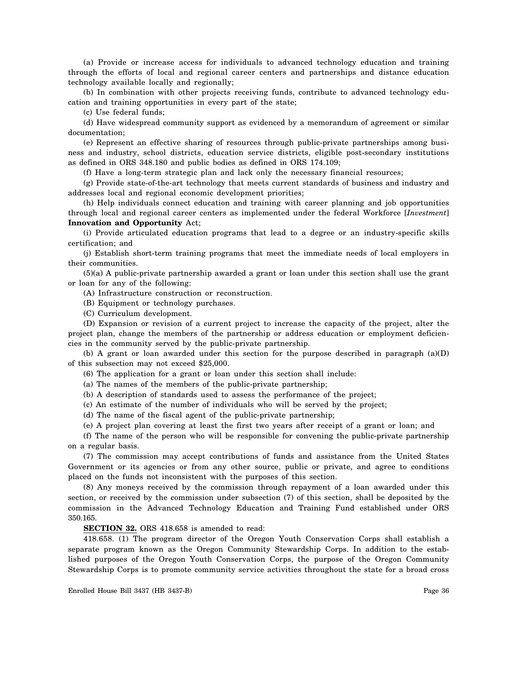(a) Provide or increase access for individuals to advanced technology education and training through the efforts of local and regional career centers and partnerships and distance education technology available locally and regionally;

(b) In combination with other projects receiving funds, contribute to advanced technology education and training opportunities in every part of the state;

(c) Use federal funds;

(d) Have widespread community support as evidenced by a memorandum of agreement or similar documentation;

(e) Represent an effective sharing of resources through public-private partnerships among business and industry, school districts, education service districts, eligible post-secondary institutions as defined in ORS 348.180 and public bodies as defined in ORS 174.109;

(f) Have a long-term strategic plan and lack only the necessary financial resources;

(g) Provide state-of-the-art technology that meets current standards of business and industry and addresses local and regional economic development priorities;

(h) Help individuals connect education and training with career planning and job opportunities through local and regional career centers as implemented under the federal Workforce [*Investment*] **Innovation and Opportunity** Act;

(i) Provide articulated education programs that lead to a degree or an industry-specific skills certification; and

(j) Establish short-term training programs that meet the immediate needs of local employers in their communities.

(5)(a) A public-private partnership awarded a grant or loan under this section shall use the grant or loan for any of the following:

(A) Infrastructure construction or reconstruction.

(B) Equipment or technology purchases.

(C) Curriculum development.

(D) Expansion or revision of a current project to increase the capacity of the project, alter the project plan, change the members of the partnership or address education or employment deficiencies in the community served by the public-private partnership.

(b) A grant or loan awarded under this section for the purpose described in paragraph  $(a)(D)$ of this subsection may not exceed \$25,000.

(6) The application for a grant or loan under this section shall include:

(a) The names of the members of the public-private partnership;

(b) A description of standards used to assess the performance of the project;

(c) An estimate of the number of individuals who will be served by the project;

(d) The name of the fiscal agent of the public-private partnership;

(e) A project plan covering at least the first two years after receipt of a grant or loan; and

(f) The name of the person who will be responsible for convening the public-private partnership on a regular basis.

(7) The commission may accept contributions of funds and assistance from the United States Government or its agencies or from any other source, public or private, and agree to conditions placed on the funds not inconsistent with the purposes of this section.

(8) Any moneys received by the commission through repayment of a loan awarded under this section, or received by the commission under subsection (7) of this section, shall be deposited by the commission in the Advanced Technology Education and Training Fund established under ORS 350.165.

**SECTION 32.** ORS 418.658 is amended to read:

418.658. (1) The program director of the Oregon Youth Conservation Corps shall establish a separate program known as the Oregon Community Stewardship Corps. In addition to the established purposes of the Oregon Youth Conservation Corps, the purpose of the Oregon Community Stewardship Corps is to promote community service activities throughout the state for a broad cross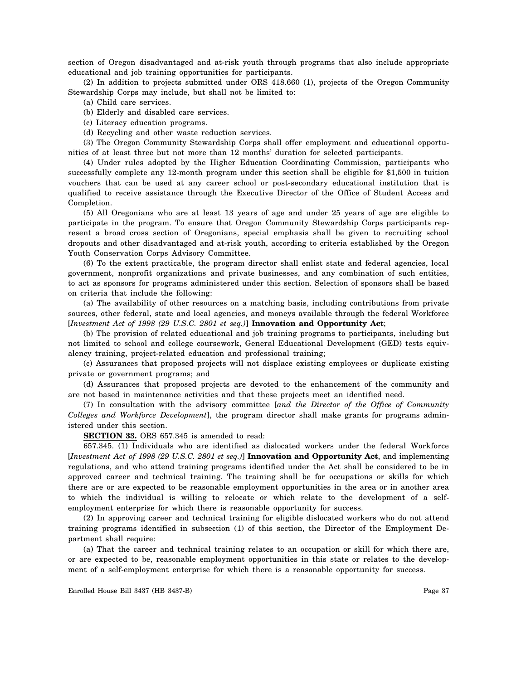section of Oregon disadvantaged and at-risk youth through programs that also include appropriate educational and job training opportunities for participants.

(2) In addition to projects submitted under ORS 418.660 (1), projects of the Oregon Community Stewardship Corps may include, but shall not be limited to:

(a) Child care services.

(b) Elderly and disabled care services.

(c) Literacy education programs.

(d) Recycling and other waste reduction services.

(3) The Oregon Community Stewardship Corps shall offer employment and educational opportunities of at least three but not more than 12 months' duration for selected participants.

(4) Under rules adopted by the Higher Education Coordinating Commission, participants who successfully complete any 12-month program under this section shall be eligible for \$1,500 in tuition vouchers that can be used at any career school or post-secondary educational institution that is qualified to receive assistance through the Executive Director of the Office of Student Access and Completion.

(5) All Oregonians who are at least 13 years of age and under 25 years of age are eligible to participate in the program. To ensure that Oregon Community Stewardship Corps participants represent a broad cross section of Oregonians, special emphasis shall be given to recruiting school dropouts and other disadvantaged and at-risk youth, according to criteria established by the Oregon Youth Conservation Corps Advisory Committee.

(6) To the extent practicable, the program director shall enlist state and federal agencies, local government, nonprofit organizations and private businesses, and any combination of such entities, to act as sponsors for programs administered under this section. Selection of sponsors shall be based on criteria that include the following:

(a) The availability of other resources on a matching basis, including contributions from private sources, other federal, state and local agencies, and moneys available through the federal Workforce [*Investment Act of 1998 (29 U.S.C. 2801 et seq.)*] **Innovation and Opportunity Act**;

(b) The provision of related educational and job training programs to participants, including but not limited to school and college coursework, General Educational Development (GED) tests equivalency training, project-related education and professional training;

(c) Assurances that proposed projects will not displace existing employees or duplicate existing private or government programs; and

(d) Assurances that proposed projects are devoted to the enhancement of the community and are not based in maintenance activities and that these projects meet an identified need.

(7) In consultation with the advisory committee [*and the Director of the Office of Community Colleges and Workforce Development*], the program director shall make grants for programs administered under this section.

**SECTION 33.** ORS 657.345 is amended to read:

657.345. (1) Individuals who are identified as dislocated workers under the federal Workforce [*Investment Act of 1998 (29 U.S.C. 2801 et seq.)*] **Innovation and Opportunity Act**, and implementing regulations, and who attend training programs identified under the Act shall be considered to be in approved career and technical training. The training shall be for occupations or skills for which there are or are expected to be reasonable employment opportunities in the area or in another area to which the individual is willing to relocate or which relate to the development of a selfemployment enterprise for which there is reasonable opportunity for success.

(2) In approving career and technical training for eligible dislocated workers who do not attend training programs identified in subsection (1) of this section, the Director of the Employment Department shall require:

(a) That the career and technical training relates to an occupation or skill for which there are, or are expected to be, reasonable employment opportunities in this state or relates to the development of a self-employment enterprise for which there is a reasonable opportunity for success.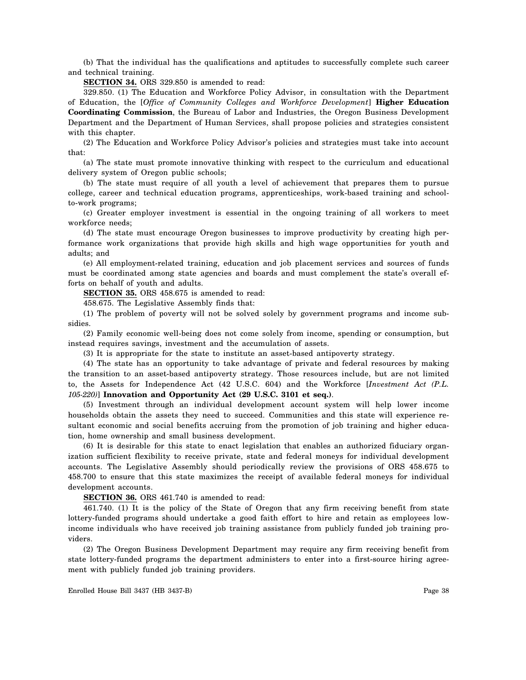(b) That the individual has the qualifications and aptitudes to successfully complete such career and technical training.

**SECTION 34.** ORS 329.850 is amended to read:

329.850. (1) The Education and Workforce Policy Advisor, in consultation with the Department of Education, the [*Office of Community Colleges and Workforce Development*] **Higher Education Coordinating Commission**, the Bureau of Labor and Industries, the Oregon Business Development Department and the Department of Human Services, shall propose policies and strategies consistent with this chapter.

(2) The Education and Workforce Policy Advisor's policies and strategies must take into account that:

(a) The state must promote innovative thinking with respect to the curriculum and educational delivery system of Oregon public schools;

(b) The state must require of all youth a level of achievement that prepares them to pursue college, career and technical education programs, apprenticeships, work-based training and schoolto-work programs;

(c) Greater employer investment is essential in the ongoing training of all workers to meet workforce needs;

(d) The state must encourage Oregon businesses to improve productivity by creating high performance work organizations that provide high skills and high wage opportunities for youth and adults; and

(e) All employment-related training, education and job placement services and sources of funds must be coordinated among state agencies and boards and must complement the state's overall efforts on behalf of youth and adults.

**SECTION 35.** ORS 458.675 is amended to read:

458.675. The Legislative Assembly finds that:

(1) The problem of poverty will not be solved solely by government programs and income subsidies.

(2) Family economic well-being does not come solely from income, spending or consumption, but instead requires savings, investment and the accumulation of assets.

(3) It is appropriate for the state to institute an asset-based antipoverty strategy.

(4) The state has an opportunity to take advantage of private and federal resources by making the transition to an asset-based antipoverty strategy. Those resources include, but are not limited to, the Assets for Independence Act (42 U.S.C. 604) and the Workforce [*Investment Act (P.L. 105-220)*] **Innovation and Opportunity Act (29 U.S.C. 3101 et seq.)**.

(5) Investment through an individual development account system will help lower income households obtain the assets they need to succeed. Communities and this state will experience resultant economic and social benefits accruing from the promotion of job training and higher education, home ownership and small business development.

(6) It is desirable for this state to enact legislation that enables an authorized fiduciary organization sufficient flexibility to receive private, state and federal moneys for individual development accounts. The Legislative Assembly should periodically review the provisions of ORS 458.675 to 458.700 to ensure that this state maximizes the receipt of available federal moneys for individual development accounts.

**SECTION 36.** ORS 461.740 is amended to read:

461.740. (1) It is the policy of the State of Oregon that any firm receiving benefit from state lottery-funded programs should undertake a good faith effort to hire and retain as employees lowincome individuals who have received job training assistance from publicly funded job training providers.

(2) The Oregon Business Development Department may require any firm receiving benefit from state lottery-funded programs the department administers to enter into a first-source hiring agreement with publicly funded job training providers.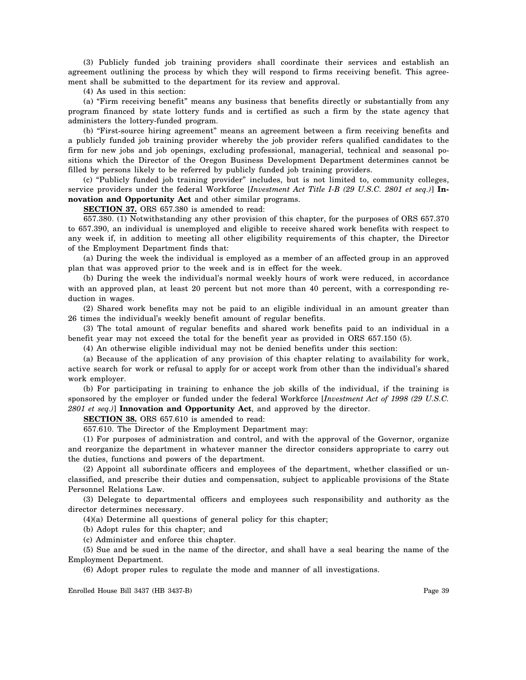(3) Publicly funded job training providers shall coordinate their services and establish an agreement outlining the process by which they will respond to firms receiving benefit. This agreement shall be submitted to the department for its review and approval.

(4) As used in this section:

(a) "Firm receiving benefit" means any business that benefits directly or substantially from any program financed by state lottery funds and is certified as such a firm by the state agency that administers the lottery-funded program.

(b) "First-source hiring agreement" means an agreement between a firm receiving benefits and a publicly funded job training provider whereby the job provider refers qualified candidates to the firm for new jobs and job openings, excluding professional, managerial, technical and seasonal positions which the Director of the Oregon Business Development Department determines cannot be filled by persons likely to be referred by publicly funded job training providers.

(c) "Publicly funded job training provider" includes, but is not limited to, community colleges, service providers under the federal Workforce [*Investment Act Title I-B (29 U.S.C. 2801 et seq.)*] **Innovation and Opportunity Act** and other similar programs.

**SECTION 37.** ORS 657.380 is amended to read:

657.380. (1) Notwithstanding any other provision of this chapter, for the purposes of ORS 657.370 to 657.390, an individual is unemployed and eligible to receive shared work benefits with respect to any week if, in addition to meeting all other eligibility requirements of this chapter, the Director of the Employment Department finds that:

(a) During the week the individual is employed as a member of an affected group in an approved plan that was approved prior to the week and is in effect for the week.

(b) During the week the individual's normal weekly hours of work were reduced, in accordance with an approved plan, at least 20 percent but not more than 40 percent, with a corresponding reduction in wages.

(2) Shared work benefits may not be paid to an eligible individual in an amount greater than 26 times the individual's weekly benefit amount of regular benefits.

(3) The total amount of regular benefits and shared work benefits paid to an individual in a benefit year may not exceed the total for the benefit year as provided in ORS 657.150 (5).

(4) An otherwise eligible individual may not be denied benefits under this section:

(a) Because of the application of any provision of this chapter relating to availability for work, active search for work or refusal to apply for or accept work from other than the individual's shared work employer.

(b) For participating in training to enhance the job skills of the individual, if the training is sponsored by the employer or funded under the federal Workforce [*Investment Act of 1998 (29 U.S.C. 2801 et seq.)*] **Innovation and Opportunity Act**, and approved by the director.

**SECTION 38.** ORS 657.610 is amended to read:

657.610. The Director of the Employment Department may:

(1) For purposes of administration and control, and with the approval of the Governor, organize and reorganize the department in whatever manner the director considers appropriate to carry out the duties, functions and powers of the department.

(2) Appoint all subordinate officers and employees of the department, whether classified or unclassified, and prescribe their duties and compensation, subject to applicable provisions of the State Personnel Relations Law.

(3) Delegate to departmental officers and employees such responsibility and authority as the director determines necessary.

(4)(a) Determine all questions of general policy for this chapter;

(b) Adopt rules for this chapter; and

(c) Administer and enforce this chapter.

(5) Sue and be sued in the name of the director, and shall have a seal bearing the name of the Employment Department.

(6) Adopt proper rules to regulate the mode and manner of all investigations.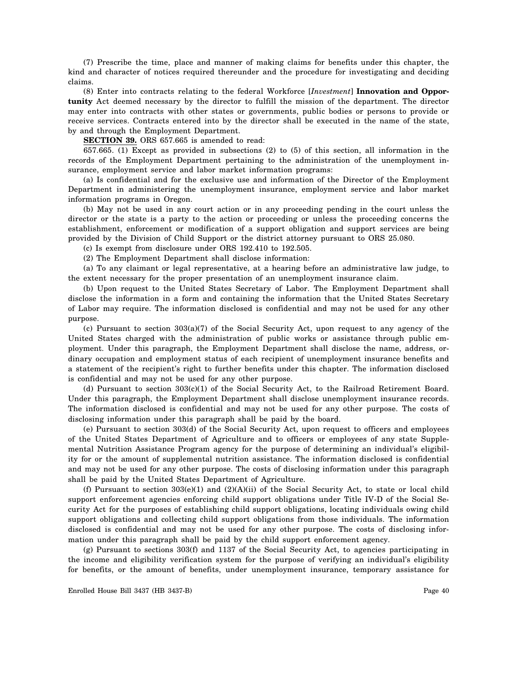(7) Prescribe the time, place and manner of making claims for benefits under this chapter, the kind and character of notices required thereunder and the procedure for investigating and deciding claims.

(8) Enter into contracts relating to the federal Workforce [*Investment*] **Innovation and Opportunity** Act deemed necessary by the director to fulfill the mission of the department. The director may enter into contracts with other states or governments, public bodies or persons to provide or receive services. Contracts entered into by the director shall be executed in the name of the state, by and through the Employment Department.

**SECTION 39.** ORS 657.665 is amended to read:

657.665. (1) Except as provided in subsections (2) to (5) of this section, all information in the records of the Employment Department pertaining to the administration of the unemployment insurance, employment service and labor market information programs:

(a) Is confidential and for the exclusive use and information of the Director of the Employment Department in administering the unemployment insurance, employment service and labor market information programs in Oregon.

(b) May not be used in any court action or in any proceeding pending in the court unless the director or the state is a party to the action or proceeding or unless the proceeding concerns the establishment, enforcement or modification of a support obligation and support services are being provided by the Division of Child Support or the district attorney pursuant to ORS 25.080.

(c) Is exempt from disclosure under ORS 192.410 to 192.505.

(2) The Employment Department shall disclose information:

(a) To any claimant or legal representative, at a hearing before an administrative law judge, to the extent necessary for the proper presentation of an unemployment insurance claim.

(b) Upon request to the United States Secretary of Labor. The Employment Department shall disclose the information in a form and containing the information that the United States Secretary of Labor may require. The information disclosed is confidential and may not be used for any other purpose.

(c) Pursuant to section 303(a)(7) of the Social Security Act, upon request to any agency of the United States charged with the administration of public works or assistance through public employment. Under this paragraph, the Employment Department shall disclose the name, address, ordinary occupation and employment status of each recipient of unemployment insurance benefits and a statement of the recipient's right to further benefits under this chapter. The information disclosed is confidential and may not be used for any other purpose.

(d) Pursuant to section 303(c)(1) of the Social Security Act, to the Railroad Retirement Board. Under this paragraph, the Employment Department shall disclose unemployment insurance records. The information disclosed is confidential and may not be used for any other purpose. The costs of disclosing information under this paragraph shall be paid by the board.

(e) Pursuant to section 303(d) of the Social Security Act, upon request to officers and employees of the United States Department of Agriculture and to officers or employees of any state Supplemental Nutrition Assistance Program agency for the purpose of determining an individual's eligibility for or the amount of supplemental nutrition assistance. The information disclosed is confidential and may not be used for any other purpose. The costs of disclosing information under this paragraph shall be paid by the United States Department of Agriculture.

(f) Pursuant to section  $303(e)(1)$  and  $(2)(A)(ii)$  of the Social Security Act, to state or local child support enforcement agencies enforcing child support obligations under Title IV-D of the Social Security Act for the purposes of establishing child support obligations, locating individuals owing child support obligations and collecting child support obligations from those individuals. The information disclosed is confidential and may not be used for any other purpose. The costs of disclosing information under this paragraph shall be paid by the child support enforcement agency.

(g) Pursuant to sections 303(f) and 1137 of the Social Security Act, to agencies participating in the income and eligibility verification system for the purpose of verifying an individual's eligibility for benefits, or the amount of benefits, under unemployment insurance, temporary assistance for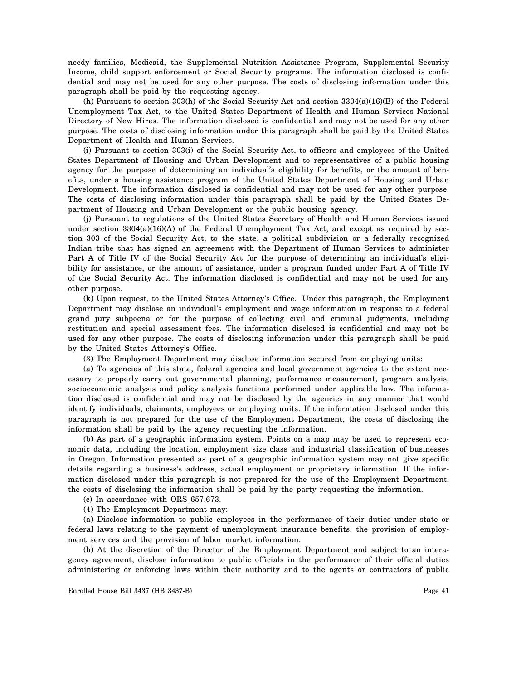needy families, Medicaid, the Supplemental Nutrition Assistance Program, Supplemental Security Income, child support enforcement or Social Security programs. The information disclosed is confidential and may not be used for any other purpose. The costs of disclosing information under this paragraph shall be paid by the requesting agency.

(h) Pursuant to section 303(h) of the Social Security Act and section 3304(a)(16)(B) of the Federal Unemployment Tax Act, to the United States Department of Health and Human Services National Directory of New Hires. The information disclosed is confidential and may not be used for any other purpose. The costs of disclosing information under this paragraph shall be paid by the United States Department of Health and Human Services.

(i) Pursuant to section 303(i) of the Social Security Act, to officers and employees of the United States Department of Housing and Urban Development and to representatives of a public housing agency for the purpose of determining an individual's eligibility for benefits, or the amount of benefits, under a housing assistance program of the United States Department of Housing and Urban Development. The information disclosed is confidential and may not be used for any other purpose. The costs of disclosing information under this paragraph shall be paid by the United States Department of Housing and Urban Development or the public housing agency.

(j) Pursuant to regulations of the United States Secretary of Health and Human Services issued under section  $3304(a)(16)(A)$  of the Federal Unemployment Tax Act, and except as required by section 303 of the Social Security Act, to the state, a political subdivision or a federally recognized Indian tribe that has signed an agreement with the Department of Human Services to administer Part A of Title IV of the Social Security Act for the purpose of determining an individual's eligibility for assistance, or the amount of assistance, under a program funded under Part A of Title IV of the Social Security Act. The information disclosed is confidential and may not be used for any other purpose.

(k) Upon request, to the United States Attorney's Office. Under this paragraph, the Employment Department may disclose an individual's employment and wage information in response to a federal grand jury subpoena or for the purpose of collecting civil and criminal judgments, including restitution and special assessment fees. The information disclosed is confidential and may not be used for any other purpose. The costs of disclosing information under this paragraph shall be paid by the United States Attorney's Office.

(3) The Employment Department may disclose information secured from employing units:

(a) To agencies of this state, federal agencies and local government agencies to the extent necessary to properly carry out governmental planning, performance measurement, program analysis, socioeconomic analysis and policy analysis functions performed under applicable law. The information disclosed is confidential and may not be disclosed by the agencies in any manner that would identify individuals, claimants, employees or employing units. If the information disclosed under this paragraph is not prepared for the use of the Employment Department, the costs of disclosing the information shall be paid by the agency requesting the information.

(b) As part of a geographic information system. Points on a map may be used to represent economic data, including the location, employment size class and industrial classification of businesses in Oregon. Information presented as part of a geographic information system may not give specific details regarding a business's address, actual employment or proprietary information. If the information disclosed under this paragraph is not prepared for the use of the Employment Department, the costs of disclosing the information shall be paid by the party requesting the information.

(c) In accordance with ORS 657.673.

(4) The Employment Department may:

(a) Disclose information to public employees in the performance of their duties under state or federal laws relating to the payment of unemployment insurance benefits, the provision of employment services and the provision of labor market information.

(b) At the discretion of the Director of the Employment Department and subject to an interagency agreement, disclose information to public officials in the performance of their official duties administering or enforcing laws within their authority and to the agents or contractors of public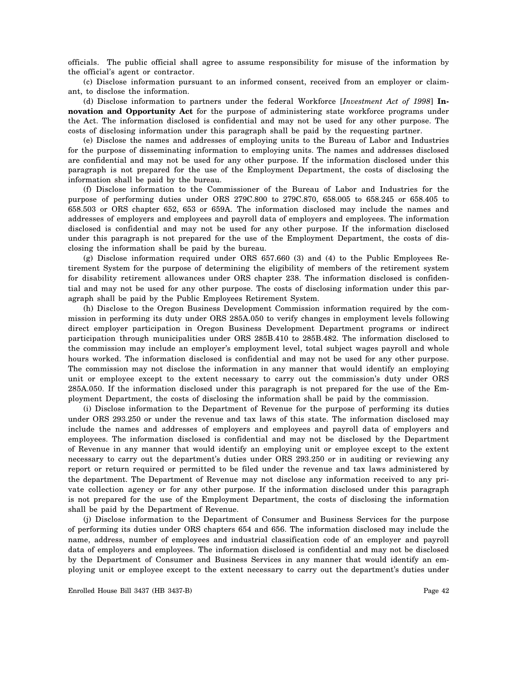officials. The public official shall agree to assume responsibility for misuse of the information by the official's agent or contractor.

(c) Disclose information pursuant to an informed consent, received from an employer or claimant, to disclose the information.

(d) Disclose information to partners under the federal Workforce [*Investment Act of 1998*] **Innovation and Opportunity Act** for the purpose of administering state workforce programs under the Act. The information disclosed is confidential and may not be used for any other purpose. The costs of disclosing information under this paragraph shall be paid by the requesting partner.

(e) Disclose the names and addresses of employing units to the Bureau of Labor and Industries for the purpose of disseminating information to employing units. The names and addresses disclosed are confidential and may not be used for any other purpose. If the information disclosed under this paragraph is not prepared for the use of the Employment Department, the costs of disclosing the information shall be paid by the bureau.

(f) Disclose information to the Commissioner of the Bureau of Labor and Industries for the purpose of performing duties under ORS 279C.800 to 279C.870, 658.005 to 658.245 or 658.405 to 658.503 or ORS chapter 652, 653 or 659A. The information disclosed may include the names and addresses of employers and employees and payroll data of employers and employees. The information disclosed is confidential and may not be used for any other purpose. If the information disclosed under this paragraph is not prepared for the use of the Employment Department, the costs of disclosing the information shall be paid by the bureau.

(g) Disclose information required under ORS 657.660 (3) and (4) to the Public Employees Retirement System for the purpose of determining the eligibility of members of the retirement system for disability retirement allowances under ORS chapter 238. The information disclosed is confidential and may not be used for any other purpose. The costs of disclosing information under this paragraph shall be paid by the Public Employees Retirement System.

(h) Disclose to the Oregon Business Development Commission information required by the commission in performing its duty under ORS 285A.050 to verify changes in employment levels following direct employer participation in Oregon Business Development Department programs or indirect participation through municipalities under ORS 285B.410 to 285B.482. The information disclosed to the commission may include an employer's employment level, total subject wages payroll and whole hours worked. The information disclosed is confidential and may not be used for any other purpose. The commission may not disclose the information in any manner that would identify an employing unit or employee except to the extent necessary to carry out the commission's duty under ORS 285A.050. If the information disclosed under this paragraph is not prepared for the use of the Employment Department, the costs of disclosing the information shall be paid by the commission.

(i) Disclose information to the Department of Revenue for the purpose of performing its duties under ORS 293.250 or under the revenue and tax laws of this state. The information disclosed may include the names and addresses of employers and employees and payroll data of employers and employees. The information disclosed is confidential and may not be disclosed by the Department of Revenue in any manner that would identify an employing unit or employee except to the extent necessary to carry out the department's duties under ORS 293.250 or in auditing or reviewing any report or return required or permitted to be filed under the revenue and tax laws administered by the department. The Department of Revenue may not disclose any information received to any private collection agency or for any other purpose. If the information disclosed under this paragraph is not prepared for the use of the Employment Department, the costs of disclosing the information shall be paid by the Department of Revenue.

(j) Disclose information to the Department of Consumer and Business Services for the purpose of performing its duties under ORS chapters 654 and 656. The information disclosed may include the name, address, number of employees and industrial classification code of an employer and payroll data of employers and employees. The information disclosed is confidential and may not be disclosed by the Department of Consumer and Business Services in any manner that would identify an employing unit or employee except to the extent necessary to carry out the department's duties under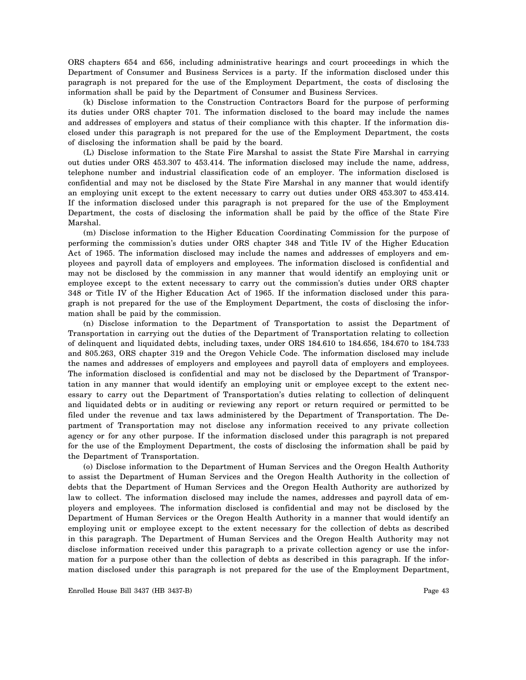ORS chapters 654 and 656, including administrative hearings and court proceedings in which the Department of Consumer and Business Services is a party. If the information disclosed under this paragraph is not prepared for the use of the Employment Department, the costs of disclosing the information shall be paid by the Department of Consumer and Business Services.

(k) Disclose information to the Construction Contractors Board for the purpose of performing its duties under ORS chapter 701. The information disclosed to the board may include the names and addresses of employers and status of their compliance with this chapter. If the information disclosed under this paragraph is not prepared for the use of the Employment Department, the costs of disclosing the information shall be paid by the board.

(L) Disclose information to the State Fire Marshal to assist the State Fire Marshal in carrying out duties under ORS 453.307 to 453.414. The information disclosed may include the name, address, telephone number and industrial classification code of an employer. The information disclosed is confidential and may not be disclosed by the State Fire Marshal in any manner that would identify an employing unit except to the extent necessary to carry out duties under ORS 453.307 to 453.414. If the information disclosed under this paragraph is not prepared for the use of the Employment Department, the costs of disclosing the information shall be paid by the office of the State Fire Marshal.

(m) Disclose information to the Higher Education Coordinating Commission for the purpose of performing the commission's duties under ORS chapter 348 and Title IV of the Higher Education Act of 1965. The information disclosed may include the names and addresses of employers and employees and payroll data of employers and employees. The information disclosed is confidential and may not be disclosed by the commission in any manner that would identify an employing unit or employee except to the extent necessary to carry out the commission's duties under ORS chapter 348 or Title IV of the Higher Education Act of 1965. If the information disclosed under this paragraph is not prepared for the use of the Employment Department, the costs of disclosing the information shall be paid by the commission.

(n) Disclose information to the Department of Transportation to assist the Department of Transportation in carrying out the duties of the Department of Transportation relating to collection of delinquent and liquidated debts, including taxes, under ORS 184.610 to 184.656, 184.670 to 184.733 and 805.263, ORS chapter 319 and the Oregon Vehicle Code. The information disclosed may include the names and addresses of employers and employees and payroll data of employers and employees. The information disclosed is confidential and may not be disclosed by the Department of Transportation in any manner that would identify an employing unit or employee except to the extent necessary to carry out the Department of Transportation's duties relating to collection of delinquent and liquidated debts or in auditing or reviewing any report or return required or permitted to be filed under the revenue and tax laws administered by the Department of Transportation. The Department of Transportation may not disclose any information received to any private collection agency or for any other purpose. If the information disclosed under this paragraph is not prepared for the use of the Employment Department, the costs of disclosing the information shall be paid by the Department of Transportation.

(o) Disclose information to the Department of Human Services and the Oregon Health Authority to assist the Department of Human Services and the Oregon Health Authority in the collection of debts that the Department of Human Services and the Oregon Health Authority are authorized by law to collect. The information disclosed may include the names, addresses and payroll data of employers and employees. The information disclosed is confidential and may not be disclosed by the Department of Human Services or the Oregon Health Authority in a manner that would identify an employing unit or employee except to the extent necessary for the collection of debts as described in this paragraph. The Department of Human Services and the Oregon Health Authority may not disclose information received under this paragraph to a private collection agency or use the information for a purpose other than the collection of debts as described in this paragraph. If the information disclosed under this paragraph is not prepared for the use of the Employment Department,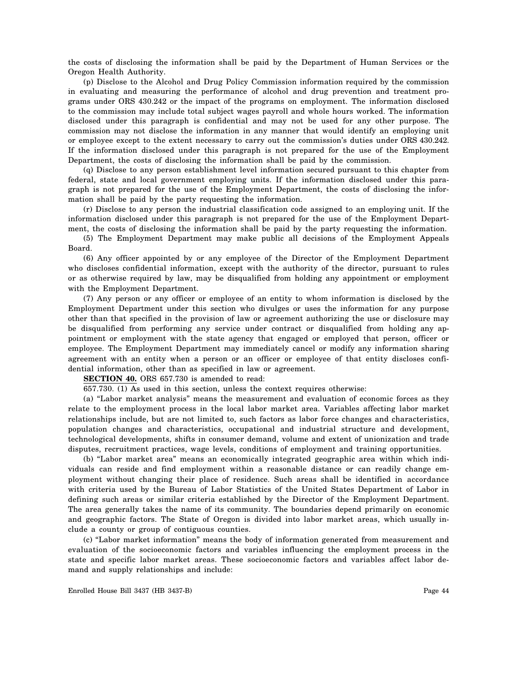the costs of disclosing the information shall be paid by the Department of Human Services or the Oregon Health Authority.

(p) Disclose to the Alcohol and Drug Policy Commission information required by the commission in evaluating and measuring the performance of alcohol and drug prevention and treatment programs under ORS 430.242 or the impact of the programs on employment. The information disclosed to the commission may include total subject wages payroll and whole hours worked. The information disclosed under this paragraph is confidential and may not be used for any other purpose. The commission may not disclose the information in any manner that would identify an employing unit or employee except to the extent necessary to carry out the commission's duties under ORS 430.242. If the information disclosed under this paragraph is not prepared for the use of the Employment Department, the costs of disclosing the information shall be paid by the commission.

(q) Disclose to any person establishment level information secured pursuant to this chapter from federal, state and local government employing units. If the information disclosed under this paragraph is not prepared for the use of the Employment Department, the costs of disclosing the information shall be paid by the party requesting the information.

(r) Disclose to any person the industrial classification code assigned to an employing unit. If the information disclosed under this paragraph is not prepared for the use of the Employment Department, the costs of disclosing the information shall be paid by the party requesting the information.

(5) The Employment Department may make public all decisions of the Employment Appeals Board.

(6) Any officer appointed by or any employee of the Director of the Employment Department who discloses confidential information, except with the authority of the director, pursuant to rules or as otherwise required by law, may be disqualified from holding any appointment or employment with the Employment Department.

(7) Any person or any officer or employee of an entity to whom information is disclosed by the Employment Department under this section who divulges or uses the information for any purpose other than that specified in the provision of law or agreement authorizing the use or disclosure may be disqualified from performing any service under contract or disqualified from holding any appointment or employment with the state agency that engaged or employed that person, officer or employee. The Employment Department may immediately cancel or modify any information sharing agreement with an entity when a person or an officer or employee of that entity discloses confidential information, other than as specified in law or agreement.

**SECTION 40.** ORS 657.730 is amended to read:

657.730. (1) As used in this section, unless the context requires otherwise:

(a) "Labor market analysis" means the measurement and evaluation of economic forces as they relate to the employment process in the local labor market area. Variables affecting labor market relationships include, but are not limited to, such factors as labor force changes and characteristics, population changes and characteristics, occupational and industrial structure and development, technological developments, shifts in consumer demand, volume and extent of unionization and trade disputes, recruitment practices, wage levels, conditions of employment and training opportunities.

(b) "Labor market area" means an economically integrated geographic area within which individuals can reside and find employment within a reasonable distance or can readily change employment without changing their place of residence. Such areas shall be identified in accordance with criteria used by the Bureau of Labor Statistics of the United States Department of Labor in defining such areas or similar criteria established by the Director of the Employment Department. The area generally takes the name of its community. The boundaries depend primarily on economic and geographic factors. The State of Oregon is divided into labor market areas, which usually include a county or group of contiguous counties.

(c) "Labor market information" means the body of information generated from measurement and evaluation of the socioeconomic factors and variables influencing the employment process in the state and specific labor market areas. These socioeconomic factors and variables affect labor demand and supply relationships and include: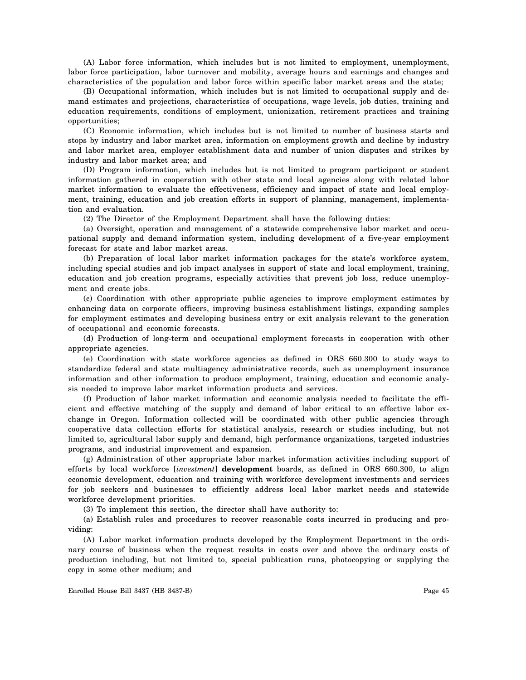(A) Labor force information, which includes but is not limited to employment, unemployment, labor force participation, labor turnover and mobility, average hours and earnings and changes and characteristics of the population and labor force within specific labor market areas and the state;

(B) Occupational information, which includes but is not limited to occupational supply and demand estimates and projections, characteristics of occupations, wage levels, job duties, training and education requirements, conditions of employment, unionization, retirement practices and training opportunities;

(C) Economic information, which includes but is not limited to number of business starts and stops by industry and labor market area, information on employment growth and decline by industry and labor market area, employer establishment data and number of union disputes and strikes by industry and labor market area; and

(D) Program information, which includes but is not limited to program participant or student information gathered in cooperation with other state and local agencies along with related labor market information to evaluate the effectiveness, efficiency and impact of state and local employment, training, education and job creation efforts in support of planning, management, implementation and evaluation.

(2) The Director of the Employment Department shall have the following duties:

(a) Oversight, operation and management of a statewide comprehensive labor market and occupational supply and demand information system, including development of a five-year employment forecast for state and labor market areas.

(b) Preparation of local labor market information packages for the state's workforce system, including special studies and job impact analyses in support of state and local employment, training, education and job creation programs, especially activities that prevent job loss, reduce unemployment and create jobs.

(c) Coordination with other appropriate public agencies to improve employment estimates by enhancing data on corporate officers, improving business establishment listings, expanding samples for employment estimates and developing business entry or exit analysis relevant to the generation of occupational and economic forecasts.

(d) Production of long-term and occupational employment forecasts in cooperation with other appropriate agencies.

(e) Coordination with state workforce agencies as defined in ORS 660.300 to study ways to standardize federal and state multiagency administrative records, such as unemployment insurance information and other information to produce employment, training, education and economic analysis needed to improve labor market information products and services.

(f) Production of labor market information and economic analysis needed to facilitate the efficient and effective matching of the supply and demand of labor critical to an effective labor exchange in Oregon. Information collected will be coordinated with other public agencies through cooperative data collection efforts for statistical analysis, research or studies including, but not limited to, agricultural labor supply and demand, high performance organizations, targeted industries programs, and industrial improvement and expansion.

(g) Administration of other appropriate labor market information activities including support of efforts by local workforce [*investment*] **development** boards, as defined in ORS 660.300, to align economic development, education and training with workforce development investments and services for job seekers and businesses to efficiently address local labor market needs and statewide workforce development priorities.

(3) To implement this section, the director shall have authority to:

(a) Establish rules and procedures to recover reasonable costs incurred in producing and providing:

(A) Labor market information products developed by the Employment Department in the ordinary course of business when the request results in costs over and above the ordinary costs of production including, but not limited to, special publication runs, photocopying or supplying the copy in some other medium; and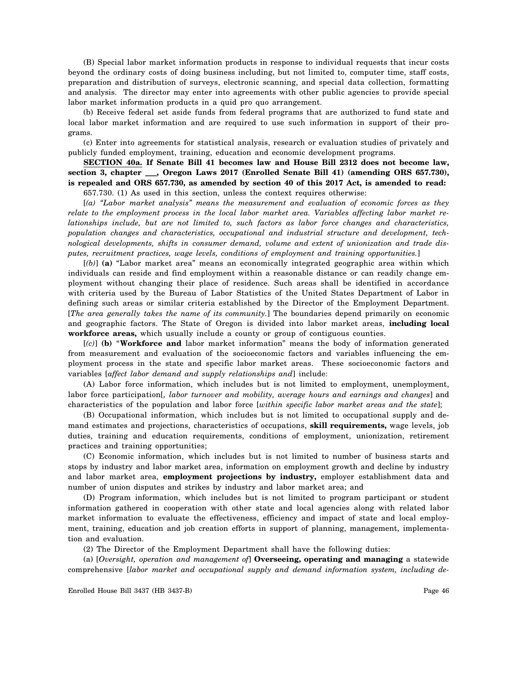(B) Special labor market information products in response to individual requests that incur costs beyond the ordinary costs of doing business including, but not limited to, computer time, staff costs, preparation and distribution of surveys, electronic scanning, and special data collection, formatting and analysis. The director may enter into agreements with other public agencies to provide special labor market information products in a quid pro quo arrangement.

(b) Receive federal set aside funds from federal programs that are authorized to fund state and local labor market information and are required to use such information in support of their programs.

(c) Enter into agreements for statistical analysis, research or evaluation studies of privately and publicly funded employment, training, education and economic development programs.

**SECTION 40a. If Senate Bill 41 becomes law and House Bill 2312 does not become law, section 3, chapter \_\_\_, Oregon Laws 2017 (Enrolled Senate Bill 41) (amending ORS 657.730), is repealed and ORS 657.730, as amended by section 40 of this 2017 Act, is amended to read:**

657.730. (1) As used in this section, unless the context requires otherwise:

[*(a) "Labor market analysis" means the measurement and evaluation of economic forces as they relate to the employment process in the local labor market area. Variables affecting labor market relationships include, but are not limited to, such factors as labor force changes and characteristics, population changes and characteristics, occupational and industrial structure and development, technological developments, shifts in consumer demand, volume and extent of unionization and trade disputes, recruitment practices, wage levels, conditions of employment and training opportunities.*]

[*(b)*] **(a)** "Labor market area" means an economically integrated geographic area within which individuals can reside and find employment within a reasonable distance or can readily change employment without changing their place of residence. Such areas shall be identified in accordance with criteria used by the Bureau of Labor Statistics of the United States Department of Labor in defining such areas or similar criteria established by the Director of the Employment Department. [*The area generally takes the name of its community.*] The boundaries depend primarily on economic and geographic factors. The State of Oregon is divided into labor market areas, **including local workforce areas,** which usually include a county or group of contiguous counties.

[*(c)*] **(b)** "**Workforce and** labor market information" means the body of information generated from measurement and evaluation of the socioeconomic factors and variables influencing the employment process in the state and specific labor market areas. These socioeconomic factors and variables [*affect labor demand and supply relationships and*] include:

(A) Labor force information, which includes but is not limited to employment, unemployment, labor force participation[*, labor turnover and mobility, average hours and earnings and changes*] and characteristics of the population and labor force [*within specific labor market areas and the state*];

(B) Occupational information, which includes but is not limited to occupational supply and demand estimates and projections, characteristics of occupations, **skill requirements,** wage levels, job duties, training and education requirements, conditions of employment, unionization, retirement practices and training opportunities;

(C) Economic information, which includes but is not limited to number of business starts and stops by industry and labor market area, information on employment growth and decline by industry and labor market area, **employment projections by industry,** employer establishment data and number of union disputes and strikes by industry and labor market area; and

(D) Program information, which includes but is not limited to program participant or student information gathered in cooperation with other state and local agencies along with related labor market information to evaluate the effectiveness, efficiency and impact of state and local employment, training, education and job creation efforts in support of planning, management, implementation and evaluation.

(2) The Director of the Employment Department shall have the following duties:

(a) [*Oversight, operation and management of*] **Overseeing, operating and managing** a statewide comprehensive [*labor market and occupational supply and demand information system, including de-*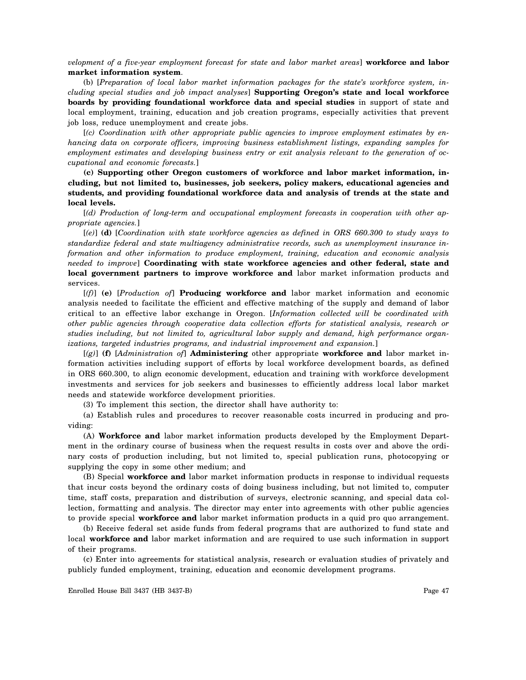*velopment of a five-year employment forecast for state and labor market areas*] **workforce and labor market information system**.

(b) [*Preparation of local labor market information packages for the state's workforce system, including special studies and job impact analyses*] **Supporting Oregon's state and local workforce boards by providing foundational workforce data and special studies** in support of state and local employment, training, education and job creation programs, especially activities that prevent job loss, reduce unemployment and create jobs.

[*(c) Coordination with other appropriate public agencies to improve employment estimates by enhancing data on corporate officers, improving business establishment listings, expanding samples for employment estimates and developing business entry or exit analysis relevant to the generation of occupational and economic forecasts.*]

**(c) Supporting other Oregon customers of workforce and labor market information, including, but not limited to, businesses, job seekers, policy makers, educational agencies and students, and providing foundational workforce data and analysis of trends at the state and local levels.**

[*(d) Production of long-term and occupational employment forecasts in cooperation with other appropriate agencies.*]

[*(e)*] **(d)** [*Coordination with state workforce agencies as defined in ORS 660.300 to study ways to standardize federal and state multiagency administrative records, such as unemployment insurance information and other information to produce employment, training, education and economic analysis needed to improve*] **Coordinating with state workforce agencies and other federal, state and local government partners to improve workforce and** labor market information products and services.

[*(f)*] **(e)** [*Production of*] **Producing workforce and** labor market information and economic analysis needed to facilitate the efficient and effective matching of the supply and demand of labor critical to an effective labor exchange in Oregon. [*Information collected will be coordinated with other public agencies through cooperative data collection efforts for statistical analysis, research or studies including, but not limited to, agricultural labor supply and demand, high performance organizations, targeted industries programs, and industrial improvement and expansion.*]

[*(g)*] **(f)** [*Administration of*] **Administering** other appropriate **workforce and** labor market information activities including support of efforts by local workforce development boards, as defined in ORS 660.300, to align economic development, education and training with workforce development investments and services for job seekers and businesses to efficiently address local labor market needs and statewide workforce development priorities.

(3) To implement this section, the director shall have authority to:

(a) Establish rules and procedures to recover reasonable costs incurred in producing and providing:

(A) **Workforce and** labor market information products developed by the Employment Department in the ordinary course of business when the request results in costs over and above the ordinary costs of production including, but not limited to, special publication runs, photocopying or supplying the copy in some other medium; and

(B) Special **workforce and** labor market information products in response to individual requests that incur costs beyond the ordinary costs of doing business including, but not limited to, computer time, staff costs, preparation and distribution of surveys, electronic scanning, and special data collection, formatting and analysis. The director may enter into agreements with other public agencies to provide special **workforce and** labor market information products in a quid pro quo arrangement.

(b) Receive federal set aside funds from federal programs that are authorized to fund state and local **workforce and** labor market information and are required to use such information in support of their programs.

(c) Enter into agreements for statistical analysis, research or evaluation studies of privately and publicly funded employment, training, education and economic development programs.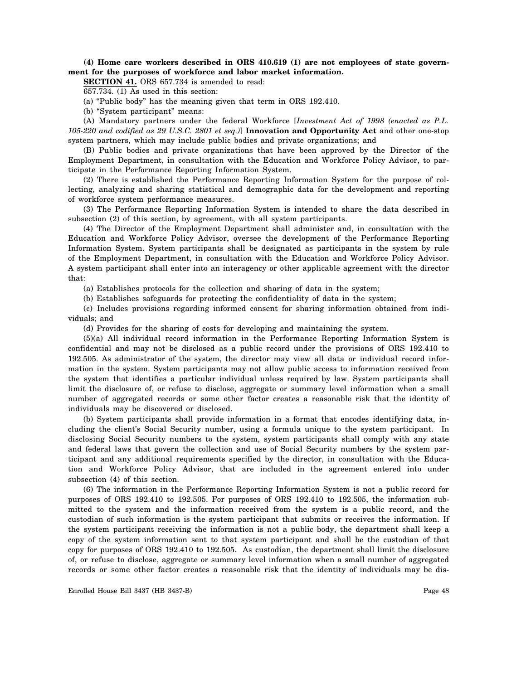**(4) Home care workers described in ORS 410.619 (1) are not employees of state government for the purposes of workforce and labor market information.**

**SECTION 41.** ORS 657.734 is amended to read:

657.734. (1) As used in this section:

(a) "Public body" has the meaning given that term in ORS 192.410.

(b) "System participant" means:

(A) Mandatory partners under the federal Workforce [*Investment Act of 1998 (enacted as P.L. 105-220 and codified as 29 U.S.C. 2801 et seq.)*] **Innovation and Opportunity Act** and other one-stop system partners, which may include public bodies and private organizations; and

(B) Public bodies and private organizations that have been approved by the Director of the Employment Department, in consultation with the Education and Workforce Policy Advisor, to participate in the Performance Reporting Information System.

(2) There is established the Performance Reporting Information System for the purpose of collecting, analyzing and sharing statistical and demographic data for the development and reporting of workforce system performance measures.

(3) The Performance Reporting Information System is intended to share the data described in subsection (2) of this section, by agreement, with all system participants.

(4) The Director of the Employment Department shall administer and, in consultation with the Education and Workforce Policy Advisor, oversee the development of the Performance Reporting Information System. System participants shall be designated as participants in the system by rule of the Employment Department, in consultation with the Education and Workforce Policy Advisor. A system participant shall enter into an interagency or other applicable agreement with the director that:

(a) Establishes protocols for the collection and sharing of data in the system;

(b) Establishes safeguards for protecting the confidentiality of data in the system;

(c) Includes provisions regarding informed consent for sharing information obtained from individuals; and

(d) Provides for the sharing of costs for developing and maintaining the system.

(5)(a) All individual record information in the Performance Reporting Information System is confidential and may not be disclosed as a public record under the provisions of ORS 192.410 to 192.505. As administrator of the system, the director may view all data or individual record information in the system. System participants may not allow public access to information received from the system that identifies a particular individual unless required by law. System participants shall limit the disclosure of, or refuse to disclose, aggregate or summary level information when a small number of aggregated records or some other factor creates a reasonable risk that the identity of individuals may be discovered or disclosed.

(b) System participants shall provide information in a format that encodes identifying data, including the client's Social Security number, using a formula unique to the system participant. In disclosing Social Security numbers to the system, system participants shall comply with any state and federal laws that govern the collection and use of Social Security numbers by the system participant and any additional requirements specified by the director, in consultation with the Education and Workforce Policy Advisor, that are included in the agreement entered into under subsection (4) of this section.

(6) The information in the Performance Reporting Information System is not a public record for purposes of ORS 192.410 to 192.505. For purposes of ORS 192.410 to 192.505, the information submitted to the system and the information received from the system is a public record, and the custodian of such information is the system participant that submits or receives the information. If the system participant receiving the information is not a public body, the department shall keep a copy of the system information sent to that system participant and shall be the custodian of that copy for purposes of ORS 192.410 to 192.505. As custodian, the department shall limit the disclosure of, or refuse to disclose, aggregate or summary level information when a small number of aggregated records or some other factor creates a reasonable risk that the identity of individuals may be dis-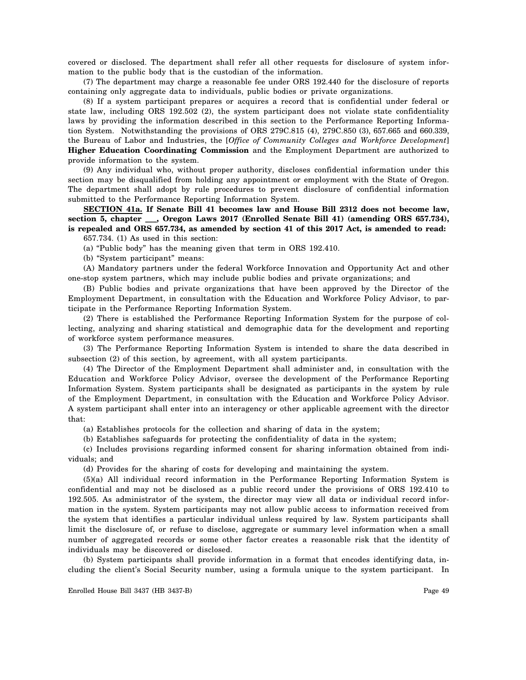covered or disclosed. The department shall refer all other requests for disclosure of system information to the public body that is the custodian of the information.

(7) The department may charge a reasonable fee under ORS 192.440 for the disclosure of reports containing only aggregate data to individuals, public bodies or private organizations.

(8) If a system participant prepares or acquires a record that is confidential under federal or state law, including ORS 192.502 (2), the system participant does not violate state confidentiality laws by providing the information described in this section to the Performance Reporting Information System. Notwithstanding the provisions of ORS 279C.815 (4), 279C.850 (3), 657.665 and 660.339, the Bureau of Labor and Industries, the [*Office of Community Colleges and Workforce Development*] **Higher Education Coordinating Commission** and the Employment Department are authorized to provide information to the system.

(9) Any individual who, without proper authority, discloses confidential information under this section may be disqualified from holding any appointment or employment with the State of Oregon. The department shall adopt by rule procedures to prevent disclosure of confidential information submitted to the Performance Reporting Information System.

**SECTION 41a. If Senate Bill 41 becomes law and House Bill 2312 does not become law, section 5, chapter \_\_\_, Oregon Laws 2017 (Enrolled Senate Bill 41) (amending ORS 657.734), is repealed and ORS 657.734, as amended by section 41 of this 2017 Act, is amended to read:**

657.734. (1) As used in this section:

(a) "Public body" has the meaning given that term in ORS 192.410.

(b) "System participant" means:

(A) Mandatory partners under the federal Workforce Innovation and Opportunity Act and other one-stop system partners, which may include public bodies and private organizations; and

(B) Public bodies and private organizations that have been approved by the Director of the Employment Department, in consultation with the Education and Workforce Policy Advisor, to participate in the Performance Reporting Information System.

(2) There is established the Performance Reporting Information System for the purpose of collecting, analyzing and sharing statistical and demographic data for the development and reporting of workforce system performance measures.

(3) The Performance Reporting Information System is intended to share the data described in subsection (2) of this section, by agreement, with all system participants.

(4) The Director of the Employment Department shall administer and, in consultation with the Education and Workforce Policy Advisor, oversee the development of the Performance Reporting Information System. System participants shall be designated as participants in the system by rule of the Employment Department, in consultation with the Education and Workforce Policy Advisor. A system participant shall enter into an interagency or other applicable agreement with the director that:

(a) Establishes protocols for the collection and sharing of data in the system;

(b) Establishes safeguards for protecting the confidentiality of data in the system;

(c) Includes provisions regarding informed consent for sharing information obtained from individuals; and

(d) Provides for the sharing of costs for developing and maintaining the system.

(5)(a) All individual record information in the Performance Reporting Information System is confidential and may not be disclosed as a public record under the provisions of ORS 192.410 to 192.505. As administrator of the system, the director may view all data or individual record information in the system. System participants may not allow public access to information received from the system that identifies a particular individual unless required by law. System participants shall limit the disclosure of, or refuse to disclose, aggregate or summary level information when a small number of aggregated records or some other factor creates a reasonable risk that the identity of individuals may be discovered or disclosed.

(b) System participants shall provide information in a format that encodes identifying data, including the client's Social Security number, using a formula unique to the system participant. In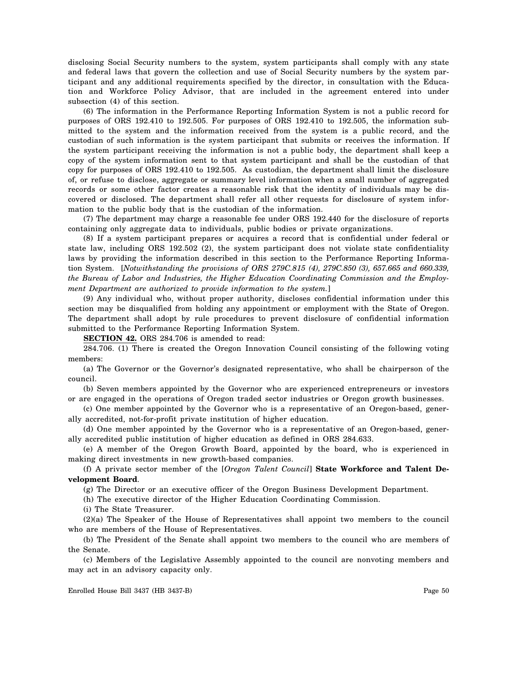disclosing Social Security numbers to the system, system participants shall comply with any state and federal laws that govern the collection and use of Social Security numbers by the system participant and any additional requirements specified by the director, in consultation with the Education and Workforce Policy Advisor, that are included in the agreement entered into under subsection (4) of this section.

(6) The information in the Performance Reporting Information System is not a public record for purposes of ORS 192.410 to 192.505. For purposes of ORS 192.410 to 192.505, the information submitted to the system and the information received from the system is a public record, and the custodian of such information is the system participant that submits or receives the information. If the system participant receiving the information is not a public body, the department shall keep a copy of the system information sent to that system participant and shall be the custodian of that copy for purposes of ORS 192.410 to 192.505. As custodian, the department shall limit the disclosure of, or refuse to disclose, aggregate or summary level information when a small number of aggregated records or some other factor creates a reasonable risk that the identity of individuals may be discovered or disclosed. The department shall refer all other requests for disclosure of system information to the public body that is the custodian of the information.

(7) The department may charge a reasonable fee under ORS 192.440 for the disclosure of reports containing only aggregate data to individuals, public bodies or private organizations.

(8) If a system participant prepares or acquires a record that is confidential under federal or state law, including ORS 192.502 (2), the system participant does not violate state confidentiality laws by providing the information described in this section to the Performance Reporting Information System. [*Notwithstanding the provisions of ORS 279C.815 (4), 279C.850 (3), 657.665 and 660.339, the Bureau of Labor and Industries, the Higher Education Coordinating Commission and the Employment Department are authorized to provide information to the system.*]

(9) Any individual who, without proper authority, discloses confidential information under this section may be disqualified from holding any appointment or employment with the State of Oregon. The department shall adopt by rule procedures to prevent disclosure of confidential information submitted to the Performance Reporting Information System.

**SECTION 42.** ORS 284.706 is amended to read:

284.706. (1) There is created the Oregon Innovation Council consisting of the following voting members:

(a) The Governor or the Governor's designated representative, who shall be chairperson of the council.

(b) Seven members appointed by the Governor who are experienced entrepreneurs or investors or are engaged in the operations of Oregon traded sector industries or Oregon growth businesses.

(c) One member appointed by the Governor who is a representative of an Oregon-based, generally accredited, not-for-profit private institution of higher education.

(d) One member appointed by the Governor who is a representative of an Oregon-based, generally accredited public institution of higher education as defined in ORS 284.633.

(e) A member of the Oregon Growth Board, appointed by the board, who is experienced in making direct investments in new growth-based companies.

(f) A private sector member of the [*Oregon Talent Council*] **State Workforce and Talent Development Board**.

(g) The Director or an executive officer of the Oregon Business Development Department.

(h) The executive director of the Higher Education Coordinating Commission.

(i) The State Treasurer.

(2)(a) The Speaker of the House of Representatives shall appoint two members to the council who are members of the House of Representatives.

(b) The President of the Senate shall appoint two members to the council who are members of the Senate.

(c) Members of the Legislative Assembly appointed to the council are nonvoting members and may act in an advisory capacity only.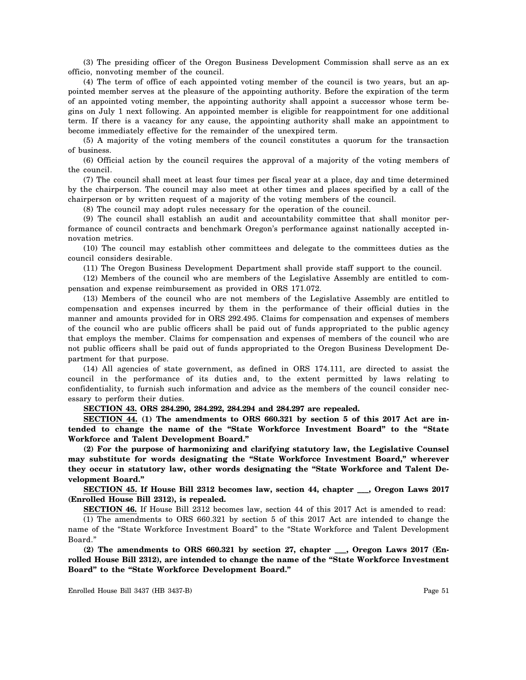(3) The presiding officer of the Oregon Business Development Commission shall serve as an ex officio, nonvoting member of the council.

(4) The term of office of each appointed voting member of the council is two years, but an appointed member serves at the pleasure of the appointing authority. Before the expiration of the term of an appointed voting member, the appointing authority shall appoint a successor whose term begins on July 1 next following. An appointed member is eligible for reappointment for one additional term. If there is a vacancy for any cause, the appointing authority shall make an appointment to become immediately effective for the remainder of the unexpired term.

(5) A majority of the voting members of the council constitutes a quorum for the transaction of business.

(6) Official action by the council requires the approval of a majority of the voting members of the council.

(7) The council shall meet at least four times per fiscal year at a place, day and time determined by the chairperson. The council may also meet at other times and places specified by a call of the chairperson or by written request of a majority of the voting members of the council.

(8) The council may adopt rules necessary for the operation of the council.

(9) The council shall establish an audit and accountability committee that shall monitor performance of council contracts and benchmark Oregon's performance against nationally accepted innovation metrics.

(10) The council may establish other committees and delegate to the committees duties as the council considers desirable.

(11) The Oregon Business Development Department shall provide staff support to the council.

(12) Members of the council who are members of the Legislative Assembly are entitled to compensation and expense reimbursement as provided in ORS 171.072.

(13) Members of the council who are not members of the Legislative Assembly are entitled to compensation and expenses incurred by them in the performance of their official duties in the manner and amounts provided for in ORS 292.495. Claims for compensation and expenses of members of the council who are public officers shall be paid out of funds appropriated to the public agency that employs the member. Claims for compensation and expenses of members of the council who are not public officers shall be paid out of funds appropriated to the Oregon Business Development Department for that purpose.

(14) All agencies of state government, as defined in ORS 174.111, are directed to assist the council in the performance of its duties and, to the extent permitted by laws relating to confidentiality, to furnish such information and advice as the members of the council consider necessary to perform their duties.

**SECTION 43. ORS 284.290, 284.292, 284.294 and 284.297 are repealed.**

**SECTION 44. (1) The amendments to ORS 660.321 by section 5 of this 2017 Act are intended to change the name of the "State Workforce Investment Board" to the "State Workforce and Talent Development Board."**

**(2) For the purpose of harmonizing and clarifying statutory law, the Legislative Counsel may substitute for words designating the "State Workforce Investment Board," wherever they occur in statutory law, other words designating the "State Workforce and Talent Development Board."**

**SECTION 45. If House Bill 2312 becomes law, section 44, chapter \_\_\_, Oregon Laws 2017 (Enrolled House Bill 2312), is repealed.**

**SECTION 46.** If House Bill 2312 becomes law, section 44 of this 2017 Act is amended to read:

(1) The amendments to ORS 660.321 by section 5 of this 2017 Act are intended to change the name of the "State Workforce Investment Board" to the "State Workforce and Talent Development Board."

**(2) The amendments to ORS 660.321 by section 27, chapter \_\_\_, Oregon Laws 2017 (Enrolled House Bill 2312), are intended to change the name of the "State Workforce Investment Board" to the "State Workforce Development Board."**